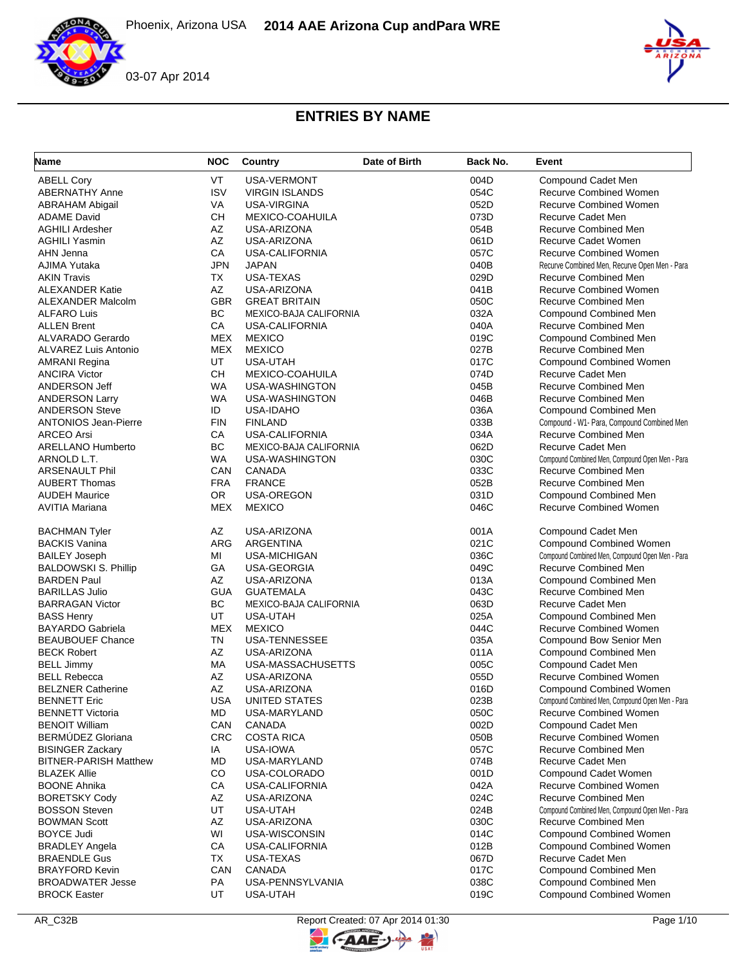



| Name                         | <b>NOC</b> | Country                       | Date of Birth | Back No. | Event                                           |
|------------------------------|------------|-------------------------------|---------------|----------|-------------------------------------------------|
| <b>ABELL Cory</b>            | <b>VT</b>  | <b>USA-VERMONT</b>            |               | 004D     | Compound Cadet Men                              |
| <b>ABERNATHY Anne</b>        | <b>ISV</b> | <b>VIRGIN ISLANDS</b>         |               | 054C     | <b>Recurve Combined Women</b>                   |
| <b>ABRAHAM Abigail</b>       | VA         | USA-VIRGINA                   |               | 052D     | <b>Recurve Combined Women</b>                   |
| <b>ADAME David</b>           | <b>CH</b>  | MEXICO-COAHUILA               |               | 073D     | Recurve Cadet Men                               |
| <b>AGHILI Ardesher</b>       | AZ         | USA-ARIZONA                   |               | 054B     | Recurve Combined Men                            |
| <b>AGHILI Yasmin</b>         | AZ         | USA-ARIZONA                   |               | 061D     | <b>Recurve Cadet Women</b>                      |
| AHN Jenna                    | CA         | <b>USA-CALIFORNIA</b>         |               | 057C     | <b>Recurve Combined Women</b>                   |
| AJIMA Yutaka                 | <b>JPN</b> | <b>JAPAN</b>                  |               | 040B     | Recurve Combined Men, Recurve Open Men - Para   |
| <b>AKIN Travis</b>           | TX         | USA-TEXAS                     |               | 029D     | Recurve Combined Men                            |
| <b>ALEXANDER Katie</b>       | AZ         | USA-ARIZONA                   |               | 041B     | <b>Recurve Combined Women</b>                   |
| <b>ALEXANDER Malcolm</b>     | <b>GBR</b> | <b>GREAT BRITAIN</b>          |               | 050C     | Recurve Combined Men                            |
| <b>ALFARO Luis</b>           | <b>BC</b>  | <b>MEXICO-BAJA CALIFORNIA</b> |               | 032A     | Compound Combined Men                           |
| <b>ALLEN Brent</b>           | CA         | <b>USA-CALIFORNIA</b>         |               | 040A     | <b>Recurve Combined Men</b>                     |
| ALVARADO Gerardo             | <b>MEX</b> | <b>MEXICO</b>                 |               | 019C     | Compound Combined Men                           |
| <b>ALVAREZ Luis Antonio</b>  | <b>MEX</b> | <b>MEXICO</b>                 |               | 027B     | Recurve Combined Men                            |
| <b>AMRANI Regina</b>         | UT         | USA-UTAH                      |               | 017C     | <b>Compound Combined Women</b>                  |
| <b>ANCIRA Victor</b>         | <b>CH</b>  | MEXICO-COAHUILA               |               | 074D     | Recurve Cadet Men                               |
| ANDERSON Jeff                | WA         | USA-WASHINGTON                |               | 045B     | <b>Recurve Combined Men</b>                     |
| <b>ANDERSON Larry</b>        | <b>WA</b>  | USA-WASHINGTON                |               | 046B     | <b>Recurve Combined Men</b>                     |
| <b>ANDERSON Steve</b>        | ID         | <b>USA-IDAHO</b>              |               | 036A     | <b>Compound Combined Men</b>                    |
| <b>ANTONIOS Jean-Pierre</b>  | <b>FIN</b> | <b>FINLAND</b>                |               | 033B     | Compound - W1- Para, Compound Combined Men      |
| <b>ARCEO Arsi</b>            | CA         | <b>USA-CALIFORNIA</b>         |               | 034A     | Recurve Combined Men                            |
| <b>ARELLANO Humberto</b>     | BC         | <b>MEXICO-BAJA CALIFORNIA</b> |               | 062D     | Recurve Cadet Men                               |
| ARNOLD L.T.                  | <b>WA</b>  | USA-WASHINGTON                |               | 030C     | Compound Combined Men, Compound Open Men - Para |
| <b>ARSENAULT Phil</b>        | CAN        | CANADA                        |               | 033C     | Recurve Combined Men                            |
| <b>AUBERT Thomas</b>         | <b>FRA</b> | <b>FRANCE</b>                 |               | 052B     | <b>Recurve Combined Men</b>                     |
| <b>AUDEH Maurice</b>         | <b>OR</b>  | <b>USA-OREGON</b>             |               | 031D     | Compound Combined Men                           |
| <b>AVITIA Mariana</b>        | <b>MEX</b> | <b>MEXICO</b>                 |               | 046C     | <b>Recurve Combined Women</b>                   |
|                              |            |                               |               |          |                                                 |
| <b>BACHMAN Tyler</b>         | AZ         | USA-ARIZONA                   |               | 001A     | Compound Cadet Men                              |
| <b>BACKIS Vanina</b>         | <b>ARG</b> | ARGENTINA                     |               | 021C     | <b>Compound Combined Women</b>                  |
| <b>BAILEY Joseph</b>         | MI         | <b>USA-MICHIGAN</b>           |               | 036C     | Compound Combined Men, Compound Open Men - Para |
| <b>BALDOWSKI S. Phillip</b>  | GA         | USA-GEORGIA                   |               | 049C     | Recurve Combined Men                            |
| <b>BARDEN Paul</b>           | AZ         | USA-ARIZONA                   |               | 013A     | Compound Combined Men                           |
| <b>BARILLAS Julio</b>        | <b>GUA</b> | <b>GUATEMALA</b>              |               | 043C     | Recurve Combined Men                            |
| <b>BARRAGAN Victor</b>       | BC         | MEXICO-BAJA CALIFORNIA        |               | 063D     | Recurve Cadet Men                               |
| <b>BASS Henry</b>            | UT         | USA-UTAH                      |               | 025A     | Compound Combined Men                           |
| <b>BAYARDO Gabriela</b>      | <b>MEX</b> | <b>MEXICO</b>                 |               | 044C     | <b>Recurve Combined Women</b>                   |
| <b>BEAUBOUEF Chance</b>      | TN         | <b>USA-TENNESSEE</b>          |               | 035A     | Compound Bow Senior Men                         |
| <b>BECK Robert</b>           | AZ         | USA-ARIZONA                   |               | 011A     | Compound Combined Men                           |
| <b>BELL Jimmy</b>            | МA         | USA-MASSACHUSETTS             |               | 005C     | Compound Cadet Men                              |
| <b>BELL Rebecca</b>          | AZ         | USA-ARIZONA                   |               | 055D     | <b>Recurve Combined Women</b>                   |
| <b>BELZNER Catherine</b>     | AZ         | USA-ARIZONA                   |               | 016D     | <b>Compound Combined Women</b>                  |
| <b>BENNETT Eric</b>          | <b>USA</b> | UNITED STATES                 |               | 023B     | Compound Combined Men, Compound Open Men - Para |
| <b>BENNETT Victoria</b>      | MD         | USA-MARYLAND                  |               | 050C     | <b>Recurve Combined Women</b>                   |
| <b>BENOIT William</b>        | CAN        | CANADA                        |               | 002D     | Compound Cadet Men                              |
| BERMÚDEZ Gloriana            | <b>CRC</b> | <b>COSTA RICA</b>             |               | 050B     | <b>Recurve Combined Women</b>                   |
| <b>BISINGER Zackary</b>      | IA         | USA-IOWA                      |               | 057C     | Recurve Combined Men                            |
| <b>BITNER-PARISH Matthew</b> | MD         | USA-MARYLAND                  |               | 074B     | Recurve Cadet Men                               |
| <b>BLAZEK Allie</b>          | CO         | USA-COLORADO                  |               | 001D     | Compound Cadet Women                            |
| <b>BOONE Ahnika</b>          | CA         | USA-CALIFORNIA                |               | 042A     | Recurve Combined Women                          |
| <b>BORETSKY Cody</b>         | AZ         | USA-ARIZONA                   |               | 024C     | <b>Recurve Combined Men</b>                     |
| <b>BOSSON Steven</b>         | UT         | USA-UTAH                      |               | 024B     | Compound Combined Men, Compound Open Men - Para |
| <b>BOWMAN Scott</b>          | AZ         | USA-ARIZONA                   |               | 030C     | Recurve Combined Men                            |
| <b>BOYCE Judi</b>            | WI         | USA-WISCONSIN                 |               | 014C     | <b>Compound Combined Women</b>                  |
| <b>BRADLEY Angela</b>        | СA         | <b>USA-CALIFORNIA</b>         |               | 012B     | <b>Compound Combined Women</b>                  |
| <b>BRAENDLE Gus</b>          | TX         | USA-TEXAS                     |               | 067D     | Recurve Cadet Men                               |
| <b>BRAYFORD Kevin</b>        | CAN        | <b>CANADA</b>                 |               | 017C     | Compound Combined Men                           |
| <b>BROADWATER Jesse</b>      | PA         | USA-PENNSYLVANIA              |               | 038C     | Compound Combined Men                           |
| <b>BROCK Easter</b>          | UT         | <b>USA-UTAH</b>               |               | 019C     | <b>Compound Combined Women</b>                  |

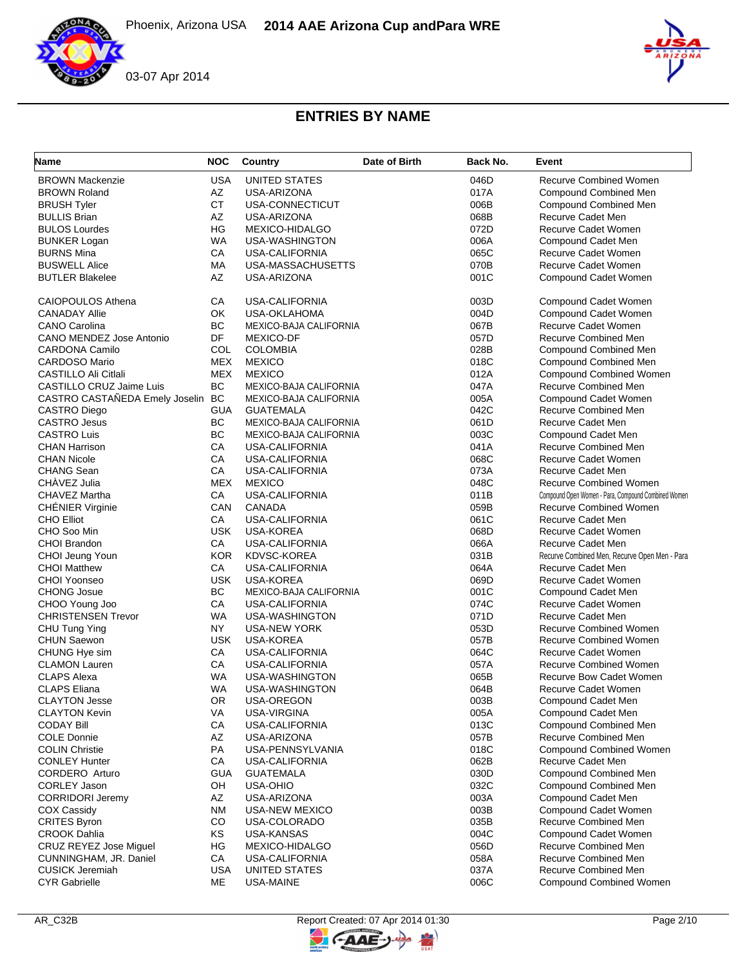

| <b>Recurve Combined Women</b><br><b>BROWN Mackenzie</b><br><b>USA</b><br>UNITED STATES<br>046D<br>AZ<br><b>BROWN Roland</b><br>USA-ARIZONA<br>017A<br><b>Compound Combined Men</b><br><b>CT</b><br>USA-CONNECTICUT<br>006B<br><b>Compound Combined Men</b><br><b>BRUSH Tyler</b><br>AZ<br>Recurve Cadet Men<br><b>BULLIS Brian</b><br>USA-ARIZONA<br>068B<br>HG<br>072D<br><b>BULOS Lourdes</b><br>MEXICO-HIDALGO<br>Recurve Cadet Women<br><b>WA</b><br>USA-WASHINGTON<br>006A<br>Compound Cadet Men<br><b>BUNKER Logan</b><br>СA<br>065C<br>Recurve Cadet Women<br><b>BURNS Mina</b><br>USA-CALIFORNIA<br>070B<br><b>BUSWELL Alice</b><br>МA<br>USA-MASSACHUSETTS<br>Recurve Cadet Women<br>AZ<br>001C<br><b>BUTLER Blakelee</b><br>USA-ARIZONA<br>Compound Cadet Women<br><b>CAIOPOULOS Athena</b><br>СA<br>USA-CALIFORNIA<br>003D<br>Compound Cadet Women<br>OK<br><b>CANADAY Allie</b><br><b>USA-OKLAHOMA</b><br>004D<br>Compound Cadet Women<br>BC<br><b>Recurve Cadet Women</b><br><b>CANO Carolina</b><br>MEXICO-BAJA CALIFORNIA<br>067B<br><b>DF</b><br>CANO MENDEZ Jose Antonio<br><b>MEXICO-DF</b><br>057D<br>Recurve Combined Men<br>COL<br><b>CARDONA Camilo</b><br><b>COLOMBIA</b><br>028B<br><b>Compound Combined Men</b><br><b>CARDOSO Mario</b><br><b>MEX</b><br><b>MEXICO</b><br>018C<br>Compound Combined Men<br><b>MEX</b><br>CASTILLO Ali Citlali<br><b>MEXICO</b><br>012A<br><b>Compound Combined Women</b><br>BC<br>MEXICO-BAJA CALIFORNIA<br><b>Recurve Combined Men</b><br>CASTILLO CRUZ Jaime Luis<br>047A<br>CASTRO CASTAÑEDA Emely Joselin BC<br>MEXICO-BAJA CALIFORNIA<br>005A<br>Compound Cadet Women<br><b>GUA</b><br>042C<br><b>GUATEMALA</b><br>Recurve Combined Men<br><b>CASTRO Diego</b><br>BC<br><b>Recurve Cadet Men</b><br><b>CASTRO Jesus</b><br><b>MEXICO-BAJA CALIFORNIA</b><br>061D<br>BC<br>003C<br><b>CASTRO Luis</b><br>MEXICO-BAJA CALIFORNIA<br>Compound Cadet Men<br>CA<br>041A<br><b>CHAN Harrison</b><br><b>USA-CALIFORNIA</b><br>Recurve Combined Men<br><b>Recurve Cadet Women</b><br><b>CHAN Nicole</b><br>СA<br>USA-CALIFORNIA<br>068C<br>CA<br><b>Recurve Cadet Men</b><br><b>CHANG Sean</b><br><b>USA-CALIFORNIA</b><br>073A<br>CHAVEZ Julia<br><b>MEX</b><br><b>MEXICO</b><br>048C<br><b>Recurve Combined Women</b><br>CHAVEZ Martha<br>СA<br><b>USA-CALIFORNIA</b><br>Compound Open Women - Para, Compound Combined Women<br>011B<br><b>CHÉNIER Virginie</b><br>CAN<br>059B<br><b>Recurve Combined Women</b><br>CANADA<br>061C<br><b>Recurve Cadet Men</b><br><b>CHO Elliot</b><br>СA<br><b>USA-CALIFORNIA</b><br><b>USK</b><br><b>Recurve Cadet Women</b><br>CHO Soo Min<br>USA-KOREA<br>068D<br>066A<br><b>CHOI Brandon</b><br>СA<br>USA-CALIFORNIA<br>Recurve Cadet Men<br><b>KOR</b><br>CHOI Jeung Youn<br>KDVSC-KOREA<br>031B<br>Recurve Combined Men, Recurve Open Men - Para<br>CA<br>USA-CALIFORNIA<br>064A<br>Recurve Cadet Men<br><b>CHOI Matthew</b><br>CHOI Yoonseo<br><b>USK</b><br><b>USA-KOREA</b><br>069D<br>Recurve Cadet Women<br><b>BC</b><br><b>CHONG Josue</b><br>MEXICO-BAJA CALIFORNIA<br>001C<br>Compound Cadet Men<br>CA<br>Recurve Cadet Women<br>CHOO Young Joo<br><b>USA-CALIFORNIA</b><br>074C<br><b>CHRISTENSEN Trevor</b><br>WA<br>USA-WASHINGTON<br>071D<br>Recurve Cadet Men<br>NY<br>053D<br><b>Recurve Combined Women</b><br><b>USA-NEW YORK</b><br>CHU Tung Ying<br><b>USK</b><br><b>Recurve Combined Women</b><br><b>CHUN Saewon</b><br><b>USA-KOREA</b><br>057B<br>CA<br><b>Recurve Cadet Women</b><br>CHUNG Hye sim<br>064C<br>USA-CALIFORNIA<br>CA<br><b>Recurve Combined Women</b><br><b>CLAMON Lauren</b><br><b>USA-CALIFORNIA</b><br>057A<br>Recurve Bow Cadet Women<br><b>CLAPS Alexa</b><br>WA<br>USA-WASHINGTON<br>065B<br><b>CLAPS Eliana</b><br><b>WA</b><br>USA-WASHINGTON<br>064B<br>Recurve Cadet Women<br><b>CLAYTON Jesse</b><br>0R<br><b>USA-OREGON</b><br>003B<br>Compound Cadet Men<br><b>CLAYTON Kevin</b><br>VA<br>USA-VIRGINA<br>005A<br>Compound Cadet Men<br>013C<br><b>CODAY Bill</b><br>CA<br>USA-CALIFORNIA<br><b>Compound Combined Men</b><br><b>COLE Donnie</b><br>AZ<br>USA-ARIZONA<br>057B<br><b>Recurve Combined Men</b><br>PA<br><b>COLIN Christie</b><br>USA-PENNSYLVANIA<br>018C<br><b>Compound Combined Women</b><br><b>CONLEY Hunter</b><br>CA<br>062B<br><b>USA-CALIFORNIA</b><br>Recurve Cadet Men<br>CORDERO Arturo<br><b>GUA</b><br><b>GUATEMALA</b><br>030D<br><b>Compound Combined Men</b><br>OH<br>032C<br><b>CORLEY Jason</b><br>USA-OHIO<br><b>Compound Combined Men</b><br>AZ<br><b>CORRIDORI Jeremy</b><br>USA-ARIZONA<br>003A<br>Compound Cadet Men<br><b>NM</b><br>Compound Cadet Women<br>COX Cassidy<br>USA-NEW MEXICO<br>003B<br>CO<br><b>CRITES Byron</b><br>USA-COLORADO<br>035B<br>Recurve Combined Men<br><b>CROOK Dahlia</b><br>KS<br>USA-KANSAS<br>004C<br>Compound Cadet Women<br>CRUZ REYEZ Jose Miguel<br>ΗG<br>MEXICO-HIDALGO<br>056D<br>Recurve Combined Men<br>Recurve Combined Men<br>CUNNINGHAM, JR. Daniel<br>CA<br>USA-CALIFORNIA<br>058A<br><b>Recurve Combined Men</b><br><b>CUSICK Jeremiah</b><br>USA<br>UNITED STATES<br>037A<br><b>CYR Gabrielle</b><br>МE<br>USA-MAINE<br>006C<br><b>Compound Combined Women</b> | Name | <b>NOC</b> | Country | Date of Birth | Back No. | Event |
|----------------------------------------------------------------------------------------------------------------------------------------------------------------------------------------------------------------------------------------------------------------------------------------------------------------------------------------------------------------------------------------------------------------------------------------------------------------------------------------------------------------------------------------------------------------------------------------------------------------------------------------------------------------------------------------------------------------------------------------------------------------------------------------------------------------------------------------------------------------------------------------------------------------------------------------------------------------------------------------------------------------------------------------------------------------------------------------------------------------------------------------------------------------------------------------------------------------------------------------------------------------------------------------------------------------------------------------------------------------------------------------------------------------------------------------------------------------------------------------------------------------------------------------------------------------------------------------------------------------------------------------------------------------------------------------------------------------------------------------------------------------------------------------------------------------------------------------------------------------------------------------------------------------------------------------------------------------------------------------------------------------------------------------------------------------------------------------------------------------------------------------------------------------------------------------------------------------------------------------------------------------------------------------------------------------------------------------------------------------------------------------------------------------------------------------------------------------------------------------------------------------------------------------------------------------------------------------------------------------------------------------------------------------------------------------------------------------------------------------------------------------------------------------------------------------------------------------------------------------------------------------------------------------------------------------------------------------------------------------------------------------------------------------------------------------------------------------------------------------------------------------------------------------------------------------------------------------------------------------------------------------------------------------------------------------------------------------------------------------------------------------------------------------------------------------------------------------------------------------------------------------------------------------------------------------------------------------------------------------------------------------------------------------------------------------------------------------------------------------------------------------------------------------------------------------------------------------------------------------------------------------------------------------------------------------------------------------------------------------------------------------------------------------------------------------------------------------------------------------------------------------------------------------------------------------------------------------------------------------------------------------------------------------------------------------------------------------------------------------------------------------------------------------------------------------------------------------------------------------------------------------------------------------------------------------------------------------------------------------------------------------------------------------------------------------------------------------------------------------------------------------------------------------------------------------------------------------------------------------------------------------------------------------------------------------------------------------------------------------------------------------------------------------------------------------------------------------------------------------------------------------------------------------------------------------------|------|------------|---------|---------------|----------|-------|
|                                                                                                                                                                                                                                                                                                                                                                                                                                                                                                                                                                                                                                                                                                                                                                                                                                                                                                                                                                                                                                                                                                                                                                                                                                                                                                                                                                                                                                                                                                                                                                                                                                                                                                                                                                                                                                                                                                                                                                                                                                                                                                                                                                                                                                                                                                                                                                                                                                                                                                                                                                                                                                                                                                                                                                                                                                                                                                                                                                                                                                                                                                                                                                                                                                                                                                                                                                                                                                                                                                                                                                                                                                                                                                                                                                                                                                                                                                                                                                                                                                                                                                                                                                                                                                                                                                                                                                                                                                                                                                                                                                                                                                                                                                                                                                                                                                                                                                                                                                                                                                                                                                                                                                                              |      |            |         |               |          |       |
|                                                                                                                                                                                                                                                                                                                                                                                                                                                                                                                                                                                                                                                                                                                                                                                                                                                                                                                                                                                                                                                                                                                                                                                                                                                                                                                                                                                                                                                                                                                                                                                                                                                                                                                                                                                                                                                                                                                                                                                                                                                                                                                                                                                                                                                                                                                                                                                                                                                                                                                                                                                                                                                                                                                                                                                                                                                                                                                                                                                                                                                                                                                                                                                                                                                                                                                                                                                                                                                                                                                                                                                                                                                                                                                                                                                                                                                                                                                                                                                                                                                                                                                                                                                                                                                                                                                                                                                                                                                                                                                                                                                                                                                                                                                                                                                                                                                                                                                                                                                                                                                                                                                                                                                              |      |            |         |               |          |       |
|                                                                                                                                                                                                                                                                                                                                                                                                                                                                                                                                                                                                                                                                                                                                                                                                                                                                                                                                                                                                                                                                                                                                                                                                                                                                                                                                                                                                                                                                                                                                                                                                                                                                                                                                                                                                                                                                                                                                                                                                                                                                                                                                                                                                                                                                                                                                                                                                                                                                                                                                                                                                                                                                                                                                                                                                                                                                                                                                                                                                                                                                                                                                                                                                                                                                                                                                                                                                                                                                                                                                                                                                                                                                                                                                                                                                                                                                                                                                                                                                                                                                                                                                                                                                                                                                                                                                                                                                                                                                                                                                                                                                                                                                                                                                                                                                                                                                                                                                                                                                                                                                                                                                                                                              |      |            |         |               |          |       |
|                                                                                                                                                                                                                                                                                                                                                                                                                                                                                                                                                                                                                                                                                                                                                                                                                                                                                                                                                                                                                                                                                                                                                                                                                                                                                                                                                                                                                                                                                                                                                                                                                                                                                                                                                                                                                                                                                                                                                                                                                                                                                                                                                                                                                                                                                                                                                                                                                                                                                                                                                                                                                                                                                                                                                                                                                                                                                                                                                                                                                                                                                                                                                                                                                                                                                                                                                                                                                                                                                                                                                                                                                                                                                                                                                                                                                                                                                                                                                                                                                                                                                                                                                                                                                                                                                                                                                                                                                                                                                                                                                                                                                                                                                                                                                                                                                                                                                                                                                                                                                                                                                                                                                                                              |      |            |         |               |          |       |
|                                                                                                                                                                                                                                                                                                                                                                                                                                                                                                                                                                                                                                                                                                                                                                                                                                                                                                                                                                                                                                                                                                                                                                                                                                                                                                                                                                                                                                                                                                                                                                                                                                                                                                                                                                                                                                                                                                                                                                                                                                                                                                                                                                                                                                                                                                                                                                                                                                                                                                                                                                                                                                                                                                                                                                                                                                                                                                                                                                                                                                                                                                                                                                                                                                                                                                                                                                                                                                                                                                                                                                                                                                                                                                                                                                                                                                                                                                                                                                                                                                                                                                                                                                                                                                                                                                                                                                                                                                                                                                                                                                                                                                                                                                                                                                                                                                                                                                                                                                                                                                                                                                                                                                                              |      |            |         |               |          |       |
|                                                                                                                                                                                                                                                                                                                                                                                                                                                                                                                                                                                                                                                                                                                                                                                                                                                                                                                                                                                                                                                                                                                                                                                                                                                                                                                                                                                                                                                                                                                                                                                                                                                                                                                                                                                                                                                                                                                                                                                                                                                                                                                                                                                                                                                                                                                                                                                                                                                                                                                                                                                                                                                                                                                                                                                                                                                                                                                                                                                                                                                                                                                                                                                                                                                                                                                                                                                                                                                                                                                                                                                                                                                                                                                                                                                                                                                                                                                                                                                                                                                                                                                                                                                                                                                                                                                                                                                                                                                                                                                                                                                                                                                                                                                                                                                                                                                                                                                                                                                                                                                                                                                                                                                              |      |            |         |               |          |       |
|                                                                                                                                                                                                                                                                                                                                                                                                                                                                                                                                                                                                                                                                                                                                                                                                                                                                                                                                                                                                                                                                                                                                                                                                                                                                                                                                                                                                                                                                                                                                                                                                                                                                                                                                                                                                                                                                                                                                                                                                                                                                                                                                                                                                                                                                                                                                                                                                                                                                                                                                                                                                                                                                                                                                                                                                                                                                                                                                                                                                                                                                                                                                                                                                                                                                                                                                                                                                                                                                                                                                                                                                                                                                                                                                                                                                                                                                                                                                                                                                                                                                                                                                                                                                                                                                                                                                                                                                                                                                                                                                                                                                                                                                                                                                                                                                                                                                                                                                                                                                                                                                                                                                                                                              |      |            |         |               |          |       |
|                                                                                                                                                                                                                                                                                                                                                                                                                                                                                                                                                                                                                                                                                                                                                                                                                                                                                                                                                                                                                                                                                                                                                                                                                                                                                                                                                                                                                                                                                                                                                                                                                                                                                                                                                                                                                                                                                                                                                                                                                                                                                                                                                                                                                                                                                                                                                                                                                                                                                                                                                                                                                                                                                                                                                                                                                                                                                                                                                                                                                                                                                                                                                                                                                                                                                                                                                                                                                                                                                                                                                                                                                                                                                                                                                                                                                                                                                                                                                                                                                                                                                                                                                                                                                                                                                                                                                                                                                                                                                                                                                                                                                                                                                                                                                                                                                                                                                                                                                                                                                                                                                                                                                                                              |      |            |         |               |          |       |
|                                                                                                                                                                                                                                                                                                                                                                                                                                                                                                                                                                                                                                                                                                                                                                                                                                                                                                                                                                                                                                                                                                                                                                                                                                                                                                                                                                                                                                                                                                                                                                                                                                                                                                                                                                                                                                                                                                                                                                                                                                                                                                                                                                                                                                                                                                                                                                                                                                                                                                                                                                                                                                                                                                                                                                                                                                                                                                                                                                                                                                                                                                                                                                                                                                                                                                                                                                                                                                                                                                                                                                                                                                                                                                                                                                                                                                                                                                                                                                                                                                                                                                                                                                                                                                                                                                                                                                                                                                                                                                                                                                                                                                                                                                                                                                                                                                                                                                                                                                                                                                                                                                                                                                                              |      |            |         |               |          |       |
|                                                                                                                                                                                                                                                                                                                                                                                                                                                                                                                                                                                                                                                                                                                                                                                                                                                                                                                                                                                                                                                                                                                                                                                                                                                                                                                                                                                                                                                                                                                                                                                                                                                                                                                                                                                                                                                                                                                                                                                                                                                                                                                                                                                                                                                                                                                                                                                                                                                                                                                                                                                                                                                                                                                                                                                                                                                                                                                                                                                                                                                                                                                                                                                                                                                                                                                                                                                                                                                                                                                                                                                                                                                                                                                                                                                                                                                                                                                                                                                                                                                                                                                                                                                                                                                                                                                                                                                                                                                                                                                                                                                                                                                                                                                                                                                                                                                                                                                                                                                                                                                                                                                                                                                              |      |            |         |               |          |       |
|                                                                                                                                                                                                                                                                                                                                                                                                                                                                                                                                                                                                                                                                                                                                                                                                                                                                                                                                                                                                                                                                                                                                                                                                                                                                                                                                                                                                                                                                                                                                                                                                                                                                                                                                                                                                                                                                                                                                                                                                                                                                                                                                                                                                                                                                                                                                                                                                                                                                                                                                                                                                                                                                                                                                                                                                                                                                                                                                                                                                                                                                                                                                                                                                                                                                                                                                                                                                                                                                                                                                                                                                                                                                                                                                                                                                                                                                                                                                                                                                                                                                                                                                                                                                                                                                                                                                                                                                                                                                                                                                                                                                                                                                                                                                                                                                                                                                                                                                                                                                                                                                                                                                                                                              |      |            |         |               |          |       |
|                                                                                                                                                                                                                                                                                                                                                                                                                                                                                                                                                                                                                                                                                                                                                                                                                                                                                                                                                                                                                                                                                                                                                                                                                                                                                                                                                                                                                                                                                                                                                                                                                                                                                                                                                                                                                                                                                                                                                                                                                                                                                                                                                                                                                                                                                                                                                                                                                                                                                                                                                                                                                                                                                                                                                                                                                                                                                                                                                                                                                                                                                                                                                                                                                                                                                                                                                                                                                                                                                                                                                                                                                                                                                                                                                                                                                                                                                                                                                                                                                                                                                                                                                                                                                                                                                                                                                                                                                                                                                                                                                                                                                                                                                                                                                                                                                                                                                                                                                                                                                                                                                                                                                                                              |      |            |         |               |          |       |
|                                                                                                                                                                                                                                                                                                                                                                                                                                                                                                                                                                                                                                                                                                                                                                                                                                                                                                                                                                                                                                                                                                                                                                                                                                                                                                                                                                                                                                                                                                                                                                                                                                                                                                                                                                                                                                                                                                                                                                                                                                                                                                                                                                                                                                                                                                                                                                                                                                                                                                                                                                                                                                                                                                                                                                                                                                                                                                                                                                                                                                                                                                                                                                                                                                                                                                                                                                                                                                                                                                                                                                                                                                                                                                                                                                                                                                                                                                                                                                                                                                                                                                                                                                                                                                                                                                                                                                                                                                                                                                                                                                                                                                                                                                                                                                                                                                                                                                                                                                                                                                                                                                                                                                                              |      |            |         |               |          |       |
|                                                                                                                                                                                                                                                                                                                                                                                                                                                                                                                                                                                                                                                                                                                                                                                                                                                                                                                                                                                                                                                                                                                                                                                                                                                                                                                                                                                                                                                                                                                                                                                                                                                                                                                                                                                                                                                                                                                                                                                                                                                                                                                                                                                                                                                                                                                                                                                                                                                                                                                                                                                                                                                                                                                                                                                                                                                                                                                                                                                                                                                                                                                                                                                                                                                                                                                                                                                                                                                                                                                                                                                                                                                                                                                                                                                                                                                                                                                                                                                                                                                                                                                                                                                                                                                                                                                                                                                                                                                                                                                                                                                                                                                                                                                                                                                                                                                                                                                                                                                                                                                                                                                                                                                              |      |            |         |               |          |       |
|                                                                                                                                                                                                                                                                                                                                                                                                                                                                                                                                                                                                                                                                                                                                                                                                                                                                                                                                                                                                                                                                                                                                                                                                                                                                                                                                                                                                                                                                                                                                                                                                                                                                                                                                                                                                                                                                                                                                                                                                                                                                                                                                                                                                                                                                                                                                                                                                                                                                                                                                                                                                                                                                                                                                                                                                                                                                                                                                                                                                                                                                                                                                                                                                                                                                                                                                                                                                                                                                                                                                                                                                                                                                                                                                                                                                                                                                                                                                                                                                                                                                                                                                                                                                                                                                                                                                                                                                                                                                                                                                                                                                                                                                                                                                                                                                                                                                                                                                                                                                                                                                                                                                                                                              |      |            |         |               |          |       |
|                                                                                                                                                                                                                                                                                                                                                                                                                                                                                                                                                                                                                                                                                                                                                                                                                                                                                                                                                                                                                                                                                                                                                                                                                                                                                                                                                                                                                                                                                                                                                                                                                                                                                                                                                                                                                                                                                                                                                                                                                                                                                                                                                                                                                                                                                                                                                                                                                                                                                                                                                                                                                                                                                                                                                                                                                                                                                                                                                                                                                                                                                                                                                                                                                                                                                                                                                                                                                                                                                                                                                                                                                                                                                                                                                                                                                                                                                                                                                                                                                                                                                                                                                                                                                                                                                                                                                                                                                                                                                                                                                                                                                                                                                                                                                                                                                                                                                                                                                                                                                                                                                                                                                                                              |      |            |         |               |          |       |
|                                                                                                                                                                                                                                                                                                                                                                                                                                                                                                                                                                                                                                                                                                                                                                                                                                                                                                                                                                                                                                                                                                                                                                                                                                                                                                                                                                                                                                                                                                                                                                                                                                                                                                                                                                                                                                                                                                                                                                                                                                                                                                                                                                                                                                                                                                                                                                                                                                                                                                                                                                                                                                                                                                                                                                                                                                                                                                                                                                                                                                                                                                                                                                                                                                                                                                                                                                                                                                                                                                                                                                                                                                                                                                                                                                                                                                                                                                                                                                                                                                                                                                                                                                                                                                                                                                                                                                                                                                                                                                                                                                                                                                                                                                                                                                                                                                                                                                                                                                                                                                                                                                                                                                                              |      |            |         |               |          |       |
|                                                                                                                                                                                                                                                                                                                                                                                                                                                                                                                                                                                                                                                                                                                                                                                                                                                                                                                                                                                                                                                                                                                                                                                                                                                                                                                                                                                                                                                                                                                                                                                                                                                                                                                                                                                                                                                                                                                                                                                                                                                                                                                                                                                                                                                                                                                                                                                                                                                                                                                                                                                                                                                                                                                                                                                                                                                                                                                                                                                                                                                                                                                                                                                                                                                                                                                                                                                                                                                                                                                                                                                                                                                                                                                                                                                                                                                                                                                                                                                                                                                                                                                                                                                                                                                                                                                                                                                                                                                                                                                                                                                                                                                                                                                                                                                                                                                                                                                                                                                                                                                                                                                                                                                              |      |            |         |               |          |       |
|                                                                                                                                                                                                                                                                                                                                                                                                                                                                                                                                                                                                                                                                                                                                                                                                                                                                                                                                                                                                                                                                                                                                                                                                                                                                                                                                                                                                                                                                                                                                                                                                                                                                                                                                                                                                                                                                                                                                                                                                                                                                                                                                                                                                                                                                                                                                                                                                                                                                                                                                                                                                                                                                                                                                                                                                                                                                                                                                                                                                                                                                                                                                                                                                                                                                                                                                                                                                                                                                                                                                                                                                                                                                                                                                                                                                                                                                                                                                                                                                                                                                                                                                                                                                                                                                                                                                                                                                                                                                                                                                                                                                                                                                                                                                                                                                                                                                                                                                                                                                                                                                                                                                                                                              |      |            |         |               |          |       |
|                                                                                                                                                                                                                                                                                                                                                                                                                                                                                                                                                                                                                                                                                                                                                                                                                                                                                                                                                                                                                                                                                                                                                                                                                                                                                                                                                                                                                                                                                                                                                                                                                                                                                                                                                                                                                                                                                                                                                                                                                                                                                                                                                                                                                                                                                                                                                                                                                                                                                                                                                                                                                                                                                                                                                                                                                                                                                                                                                                                                                                                                                                                                                                                                                                                                                                                                                                                                                                                                                                                                                                                                                                                                                                                                                                                                                                                                                                                                                                                                                                                                                                                                                                                                                                                                                                                                                                                                                                                                                                                                                                                                                                                                                                                                                                                                                                                                                                                                                                                                                                                                                                                                                                                              |      |            |         |               |          |       |
|                                                                                                                                                                                                                                                                                                                                                                                                                                                                                                                                                                                                                                                                                                                                                                                                                                                                                                                                                                                                                                                                                                                                                                                                                                                                                                                                                                                                                                                                                                                                                                                                                                                                                                                                                                                                                                                                                                                                                                                                                                                                                                                                                                                                                                                                                                                                                                                                                                                                                                                                                                                                                                                                                                                                                                                                                                                                                                                                                                                                                                                                                                                                                                                                                                                                                                                                                                                                                                                                                                                                                                                                                                                                                                                                                                                                                                                                                                                                                                                                                                                                                                                                                                                                                                                                                                                                                                                                                                                                                                                                                                                                                                                                                                                                                                                                                                                                                                                                                                                                                                                                                                                                                                                              |      |            |         |               |          |       |
|                                                                                                                                                                                                                                                                                                                                                                                                                                                                                                                                                                                                                                                                                                                                                                                                                                                                                                                                                                                                                                                                                                                                                                                                                                                                                                                                                                                                                                                                                                                                                                                                                                                                                                                                                                                                                                                                                                                                                                                                                                                                                                                                                                                                                                                                                                                                                                                                                                                                                                                                                                                                                                                                                                                                                                                                                                                                                                                                                                                                                                                                                                                                                                                                                                                                                                                                                                                                                                                                                                                                                                                                                                                                                                                                                                                                                                                                                                                                                                                                                                                                                                                                                                                                                                                                                                                                                                                                                                                                                                                                                                                                                                                                                                                                                                                                                                                                                                                                                                                                                                                                                                                                                                                              |      |            |         |               |          |       |
|                                                                                                                                                                                                                                                                                                                                                                                                                                                                                                                                                                                                                                                                                                                                                                                                                                                                                                                                                                                                                                                                                                                                                                                                                                                                                                                                                                                                                                                                                                                                                                                                                                                                                                                                                                                                                                                                                                                                                                                                                                                                                                                                                                                                                                                                                                                                                                                                                                                                                                                                                                                                                                                                                                                                                                                                                                                                                                                                                                                                                                                                                                                                                                                                                                                                                                                                                                                                                                                                                                                                                                                                                                                                                                                                                                                                                                                                                                                                                                                                                                                                                                                                                                                                                                                                                                                                                                                                                                                                                                                                                                                                                                                                                                                                                                                                                                                                                                                                                                                                                                                                                                                                                                                              |      |            |         |               |          |       |
|                                                                                                                                                                                                                                                                                                                                                                                                                                                                                                                                                                                                                                                                                                                                                                                                                                                                                                                                                                                                                                                                                                                                                                                                                                                                                                                                                                                                                                                                                                                                                                                                                                                                                                                                                                                                                                                                                                                                                                                                                                                                                                                                                                                                                                                                                                                                                                                                                                                                                                                                                                                                                                                                                                                                                                                                                                                                                                                                                                                                                                                                                                                                                                                                                                                                                                                                                                                                                                                                                                                                                                                                                                                                                                                                                                                                                                                                                                                                                                                                                                                                                                                                                                                                                                                                                                                                                                                                                                                                                                                                                                                                                                                                                                                                                                                                                                                                                                                                                                                                                                                                                                                                                                                              |      |            |         |               |          |       |
|                                                                                                                                                                                                                                                                                                                                                                                                                                                                                                                                                                                                                                                                                                                                                                                                                                                                                                                                                                                                                                                                                                                                                                                                                                                                                                                                                                                                                                                                                                                                                                                                                                                                                                                                                                                                                                                                                                                                                                                                                                                                                                                                                                                                                                                                                                                                                                                                                                                                                                                                                                                                                                                                                                                                                                                                                                                                                                                                                                                                                                                                                                                                                                                                                                                                                                                                                                                                                                                                                                                                                                                                                                                                                                                                                                                                                                                                                                                                                                                                                                                                                                                                                                                                                                                                                                                                                                                                                                                                                                                                                                                                                                                                                                                                                                                                                                                                                                                                                                                                                                                                                                                                                                                              |      |            |         |               |          |       |
|                                                                                                                                                                                                                                                                                                                                                                                                                                                                                                                                                                                                                                                                                                                                                                                                                                                                                                                                                                                                                                                                                                                                                                                                                                                                                                                                                                                                                                                                                                                                                                                                                                                                                                                                                                                                                                                                                                                                                                                                                                                                                                                                                                                                                                                                                                                                                                                                                                                                                                                                                                                                                                                                                                                                                                                                                                                                                                                                                                                                                                                                                                                                                                                                                                                                                                                                                                                                                                                                                                                                                                                                                                                                                                                                                                                                                                                                                                                                                                                                                                                                                                                                                                                                                                                                                                                                                                                                                                                                                                                                                                                                                                                                                                                                                                                                                                                                                                                                                                                                                                                                                                                                                                                              |      |            |         |               |          |       |
|                                                                                                                                                                                                                                                                                                                                                                                                                                                                                                                                                                                                                                                                                                                                                                                                                                                                                                                                                                                                                                                                                                                                                                                                                                                                                                                                                                                                                                                                                                                                                                                                                                                                                                                                                                                                                                                                                                                                                                                                                                                                                                                                                                                                                                                                                                                                                                                                                                                                                                                                                                                                                                                                                                                                                                                                                                                                                                                                                                                                                                                                                                                                                                                                                                                                                                                                                                                                                                                                                                                                                                                                                                                                                                                                                                                                                                                                                                                                                                                                                                                                                                                                                                                                                                                                                                                                                                                                                                                                                                                                                                                                                                                                                                                                                                                                                                                                                                                                                                                                                                                                                                                                                                                              |      |            |         |               |          |       |
|                                                                                                                                                                                                                                                                                                                                                                                                                                                                                                                                                                                                                                                                                                                                                                                                                                                                                                                                                                                                                                                                                                                                                                                                                                                                                                                                                                                                                                                                                                                                                                                                                                                                                                                                                                                                                                                                                                                                                                                                                                                                                                                                                                                                                                                                                                                                                                                                                                                                                                                                                                                                                                                                                                                                                                                                                                                                                                                                                                                                                                                                                                                                                                                                                                                                                                                                                                                                                                                                                                                                                                                                                                                                                                                                                                                                                                                                                                                                                                                                                                                                                                                                                                                                                                                                                                                                                                                                                                                                                                                                                                                                                                                                                                                                                                                                                                                                                                                                                                                                                                                                                                                                                                                              |      |            |         |               |          |       |
|                                                                                                                                                                                                                                                                                                                                                                                                                                                                                                                                                                                                                                                                                                                                                                                                                                                                                                                                                                                                                                                                                                                                                                                                                                                                                                                                                                                                                                                                                                                                                                                                                                                                                                                                                                                                                                                                                                                                                                                                                                                                                                                                                                                                                                                                                                                                                                                                                                                                                                                                                                                                                                                                                                                                                                                                                                                                                                                                                                                                                                                                                                                                                                                                                                                                                                                                                                                                                                                                                                                                                                                                                                                                                                                                                                                                                                                                                                                                                                                                                                                                                                                                                                                                                                                                                                                                                                                                                                                                                                                                                                                                                                                                                                                                                                                                                                                                                                                                                                                                                                                                                                                                                                                              |      |            |         |               |          |       |
|                                                                                                                                                                                                                                                                                                                                                                                                                                                                                                                                                                                                                                                                                                                                                                                                                                                                                                                                                                                                                                                                                                                                                                                                                                                                                                                                                                                                                                                                                                                                                                                                                                                                                                                                                                                                                                                                                                                                                                                                                                                                                                                                                                                                                                                                                                                                                                                                                                                                                                                                                                                                                                                                                                                                                                                                                                                                                                                                                                                                                                                                                                                                                                                                                                                                                                                                                                                                                                                                                                                                                                                                                                                                                                                                                                                                                                                                                                                                                                                                                                                                                                                                                                                                                                                                                                                                                                                                                                                                                                                                                                                                                                                                                                                                                                                                                                                                                                                                                                                                                                                                                                                                                                                              |      |            |         |               |          |       |
|                                                                                                                                                                                                                                                                                                                                                                                                                                                                                                                                                                                                                                                                                                                                                                                                                                                                                                                                                                                                                                                                                                                                                                                                                                                                                                                                                                                                                                                                                                                                                                                                                                                                                                                                                                                                                                                                                                                                                                                                                                                                                                                                                                                                                                                                                                                                                                                                                                                                                                                                                                                                                                                                                                                                                                                                                                                                                                                                                                                                                                                                                                                                                                                                                                                                                                                                                                                                                                                                                                                                                                                                                                                                                                                                                                                                                                                                                                                                                                                                                                                                                                                                                                                                                                                                                                                                                                                                                                                                                                                                                                                                                                                                                                                                                                                                                                                                                                                                                                                                                                                                                                                                                                                              |      |            |         |               |          |       |
|                                                                                                                                                                                                                                                                                                                                                                                                                                                                                                                                                                                                                                                                                                                                                                                                                                                                                                                                                                                                                                                                                                                                                                                                                                                                                                                                                                                                                                                                                                                                                                                                                                                                                                                                                                                                                                                                                                                                                                                                                                                                                                                                                                                                                                                                                                                                                                                                                                                                                                                                                                                                                                                                                                                                                                                                                                                                                                                                                                                                                                                                                                                                                                                                                                                                                                                                                                                                                                                                                                                                                                                                                                                                                                                                                                                                                                                                                                                                                                                                                                                                                                                                                                                                                                                                                                                                                                                                                                                                                                                                                                                                                                                                                                                                                                                                                                                                                                                                                                                                                                                                                                                                                                                              |      |            |         |               |          |       |
|                                                                                                                                                                                                                                                                                                                                                                                                                                                                                                                                                                                                                                                                                                                                                                                                                                                                                                                                                                                                                                                                                                                                                                                                                                                                                                                                                                                                                                                                                                                                                                                                                                                                                                                                                                                                                                                                                                                                                                                                                                                                                                                                                                                                                                                                                                                                                                                                                                                                                                                                                                                                                                                                                                                                                                                                                                                                                                                                                                                                                                                                                                                                                                                                                                                                                                                                                                                                                                                                                                                                                                                                                                                                                                                                                                                                                                                                                                                                                                                                                                                                                                                                                                                                                                                                                                                                                                                                                                                                                                                                                                                                                                                                                                                                                                                                                                                                                                                                                                                                                                                                                                                                                                                              |      |            |         |               |          |       |
|                                                                                                                                                                                                                                                                                                                                                                                                                                                                                                                                                                                                                                                                                                                                                                                                                                                                                                                                                                                                                                                                                                                                                                                                                                                                                                                                                                                                                                                                                                                                                                                                                                                                                                                                                                                                                                                                                                                                                                                                                                                                                                                                                                                                                                                                                                                                                                                                                                                                                                                                                                                                                                                                                                                                                                                                                                                                                                                                                                                                                                                                                                                                                                                                                                                                                                                                                                                                                                                                                                                                                                                                                                                                                                                                                                                                                                                                                                                                                                                                                                                                                                                                                                                                                                                                                                                                                                                                                                                                                                                                                                                                                                                                                                                                                                                                                                                                                                                                                                                                                                                                                                                                                                                              |      |            |         |               |          |       |
|                                                                                                                                                                                                                                                                                                                                                                                                                                                                                                                                                                                                                                                                                                                                                                                                                                                                                                                                                                                                                                                                                                                                                                                                                                                                                                                                                                                                                                                                                                                                                                                                                                                                                                                                                                                                                                                                                                                                                                                                                                                                                                                                                                                                                                                                                                                                                                                                                                                                                                                                                                                                                                                                                                                                                                                                                                                                                                                                                                                                                                                                                                                                                                                                                                                                                                                                                                                                                                                                                                                                                                                                                                                                                                                                                                                                                                                                                                                                                                                                                                                                                                                                                                                                                                                                                                                                                                                                                                                                                                                                                                                                                                                                                                                                                                                                                                                                                                                                                                                                                                                                                                                                                                                              |      |            |         |               |          |       |
|                                                                                                                                                                                                                                                                                                                                                                                                                                                                                                                                                                                                                                                                                                                                                                                                                                                                                                                                                                                                                                                                                                                                                                                                                                                                                                                                                                                                                                                                                                                                                                                                                                                                                                                                                                                                                                                                                                                                                                                                                                                                                                                                                                                                                                                                                                                                                                                                                                                                                                                                                                                                                                                                                                                                                                                                                                                                                                                                                                                                                                                                                                                                                                                                                                                                                                                                                                                                                                                                                                                                                                                                                                                                                                                                                                                                                                                                                                                                                                                                                                                                                                                                                                                                                                                                                                                                                                                                                                                                                                                                                                                                                                                                                                                                                                                                                                                                                                                                                                                                                                                                                                                                                                                              |      |            |         |               |          |       |
|                                                                                                                                                                                                                                                                                                                                                                                                                                                                                                                                                                                                                                                                                                                                                                                                                                                                                                                                                                                                                                                                                                                                                                                                                                                                                                                                                                                                                                                                                                                                                                                                                                                                                                                                                                                                                                                                                                                                                                                                                                                                                                                                                                                                                                                                                                                                                                                                                                                                                                                                                                                                                                                                                                                                                                                                                                                                                                                                                                                                                                                                                                                                                                                                                                                                                                                                                                                                                                                                                                                                                                                                                                                                                                                                                                                                                                                                                                                                                                                                                                                                                                                                                                                                                                                                                                                                                                                                                                                                                                                                                                                                                                                                                                                                                                                                                                                                                                                                                                                                                                                                                                                                                                                              |      |            |         |               |          |       |
|                                                                                                                                                                                                                                                                                                                                                                                                                                                                                                                                                                                                                                                                                                                                                                                                                                                                                                                                                                                                                                                                                                                                                                                                                                                                                                                                                                                                                                                                                                                                                                                                                                                                                                                                                                                                                                                                                                                                                                                                                                                                                                                                                                                                                                                                                                                                                                                                                                                                                                                                                                                                                                                                                                                                                                                                                                                                                                                                                                                                                                                                                                                                                                                                                                                                                                                                                                                                                                                                                                                                                                                                                                                                                                                                                                                                                                                                                                                                                                                                                                                                                                                                                                                                                                                                                                                                                                                                                                                                                                                                                                                                                                                                                                                                                                                                                                                                                                                                                                                                                                                                                                                                                                                              |      |            |         |               |          |       |
|                                                                                                                                                                                                                                                                                                                                                                                                                                                                                                                                                                                                                                                                                                                                                                                                                                                                                                                                                                                                                                                                                                                                                                                                                                                                                                                                                                                                                                                                                                                                                                                                                                                                                                                                                                                                                                                                                                                                                                                                                                                                                                                                                                                                                                                                                                                                                                                                                                                                                                                                                                                                                                                                                                                                                                                                                                                                                                                                                                                                                                                                                                                                                                                                                                                                                                                                                                                                                                                                                                                                                                                                                                                                                                                                                                                                                                                                                                                                                                                                                                                                                                                                                                                                                                                                                                                                                                                                                                                                                                                                                                                                                                                                                                                                                                                                                                                                                                                                                                                                                                                                                                                                                                                              |      |            |         |               |          |       |
|                                                                                                                                                                                                                                                                                                                                                                                                                                                                                                                                                                                                                                                                                                                                                                                                                                                                                                                                                                                                                                                                                                                                                                                                                                                                                                                                                                                                                                                                                                                                                                                                                                                                                                                                                                                                                                                                                                                                                                                                                                                                                                                                                                                                                                                                                                                                                                                                                                                                                                                                                                                                                                                                                                                                                                                                                                                                                                                                                                                                                                                                                                                                                                                                                                                                                                                                                                                                                                                                                                                                                                                                                                                                                                                                                                                                                                                                                                                                                                                                                                                                                                                                                                                                                                                                                                                                                                                                                                                                                                                                                                                                                                                                                                                                                                                                                                                                                                                                                                                                                                                                                                                                                                                              |      |            |         |               |          |       |
|                                                                                                                                                                                                                                                                                                                                                                                                                                                                                                                                                                                                                                                                                                                                                                                                                                                                                                                                                                                                                                                                                                                                                                                                                                                                                                                                                                                                                                                                                                                                                                                                                                                                                                                                                                                                                                                                                                                                                                                                                                                                                                                                                                                                                                                                                                                                                                                                                                                                                                                                                                                                                                                                                                                                                                                                                                                                                                                                                                                                                                                                                                                                                                                                                                                                                                                                                                                                                                                                                                                                                                                                                                                                                                                                                                                                                                                                                                                                                                                                                                                                                                                                                                                                                                                                                                                                                                                                                                                                                                                                                                                                                                                                                                                                                                                                                                                                                                                                                                                                                                                                                                                                                                                              |      |            |         |               |          |       |
|                                                                                                                                                                                                                                                                                                                                                                                                                                                                                                                                                                                                                                                                                                                                                                                                                                                                                                                                                                                                                                                                                                                                                                                                                                                                                                                                                                                                                                                                                                                                                                                                                                                                                                                                                                                                                                                                                                                                                                                                                                                                                                                                                                                                                                                                                                                                                                                                                                                                                                                                                                                                                                                                                                                                                                                                                                                                                                                                                                                                                                                                                                                                                                                                                                                                                                                                                                                                                                                                                                                                                                                                                                                                                                                                                                                                                                                                                                                                                                                                                                                                                                                                                                                                                                                                                                                                                                                                                                                                                                                                                                                                                                                                                                                                                                                                                                                                                                                                                                                                                                                                                                                                                                                              |      |            |         |               |          |       |
|                                                                                                                                                                                                                                                                                                                                                                                                                                                                                                                                                                                                                                                                                                                                                                                                                                                                                                                                                                                                                                                                                                                                                                                                                                                                                                                                                                                                                                                                                                                                                                                                                                                                                                                                                                                                                                                                                                                                                                                                                                                                                                                                                                                                                                                                                                                                                                                                                                                                                                                                                                                                                                                                                                                                                                                                                                                                                                                                                                                                                                                                                                                                                                                                                                                                                                                                                                                                                                                                                                                                                                                                                                                                                                                                                                                                                                                                                                                                                                                                                                                                                                                                                                                                                                                                                                                                                                                                                                                                                                                                                                                                                                                                                                                                                                                                                                                                                                                                                                                                                                                                                                                                                                                              |      |            |         |               |          |       |
|                                                                                                                                                                                                                                                                                                                                                                                                                                                                                                                                                                                                                                                                                                                                                                                                                                                                                                                                                                                                                                                                                                                                                                                                                                                                                                                                                                                                                                                                                                                                                                                                                                                                                                                                                                                                                                                                                                                                                                                                                                                                                                                                                                                                                                                                                                                                                                                                                                                                                                                                                                                                                                                                                                                                                                                                                                                                                                                                                                                                                                                                                                                                                                                                                                                                                                                                                                                                                                                                                                                                                                                                                                                                                                                                                                                                                                                                                                                                                                                                                                                                                                                                                                                                                                                                                                                                                                                                                                                                                                                                                                                                                                                                                                                                                                                                                                                                                                                                                                                                                                                                                                                                                                                              |      |            |         |               |          |       |
|                                                                                                                                                                                                                                                                                                                                                                                                                                                                                                                                                                                                                                                                                                                                                                                                                                                                                                                                                                                                                                                                                                                                                                                                                                                                                                                                                                                                                                                                                                                                                                                                                                                                                                                                                                                                                                                                                                                                                                                                                                                                                                                                                                                                                                                                                                                                                                                                                                                                                                                                                                                                                                                                                                                                                                                                                                                                                                                                                                                                                                                                                                                                                                                                                                                                                                                                                                                                                                                                                                                                                                                                                                                                                                                                                                                                                                                                                                                                                                                                                                                                                                                                                                                                                                                                                                                                                                                                                                                                                                                                                                                                                                                                                                                                                                                                                                                                                                                                                                                                                                                                                                                                                                                              |      |            |         |               |          |       |
|                                                                                                                                                                                                                                                                                                                                                                                                                                                                                                                                                                                                                                                                                                                                                                                                                                                                                                                                                                                                                                                                                                                                                                                                                                                                                                                                                                                                                                                                                                                                                                                                                                                                                                                                                                                                                                                                                                                                                                                                                                                                                                                                                                                                                                                                                                                                                                                                                                                                                                                                                                                                                                                                                                                                                                                                                                                                                                                                                                                                                                                                                                                                                                                                                                                                                                                                                                                                                                                                                                                                                                                                                                                                                                                                                                                                                                                                                                                                                                                                                                                                                                                                                                                                                                                                                                                                                                                                                                                                                                                                                                                                                                                                                                                                                                                                                                                                                                                                                                                                                                                                                                                                                                                              |      |            |         |               |          |       |
|                                                                                                                                                                                                                                                                                                                                                                                                                                                                                                                                                                                                                                                                                                                                                                                                                                                                                                                                                                                                                                                                                                                                                                                                                                                                                                                                                                                                                                                                                                                                                                                                                                                                                                                                                                                                                                                                                                                                                                                                                                                                                                                                                                                                                                                                                                                                                                                                                                                                                                                                                                                                                                                                                                                                                                                                                                                                                                                                                                                                                                                                                                                                                                                                                                                                                                                                                                                                                                                                                                                                                                                                                                                                                                                                                                                                                                                                                                                                                                                                                                                                                                                                                                                                                                                                                                                                                                                                                                                                                                                                                                                                                                                                                                                                                                                                                                                                                                                                                                                                                                                                                                                                                                                              |      |            |         |               |          |       |
|                                                                                                                                                                                                                                                                                                                                                                                                                                                                                                                                                                                                                                                                                                                                                                                                                                                                                                                                                                                                                                                                                                                                                                                                                                                                                                                                                                                                                                                                                                                                                                                                                                                                                                                                                                                                                                                                                                                                                                                                                                                                                                                                                                                                                                                                                                                                                                                                                                                                                                                                                                                                                                                                                                                                                                                                                                                                                                                                                                                                                                                                                                                                                                                                                                                                                                                                                                                                                                                                                                                                                                                                                                                                                                                                                                                                                                                                                                                                                                                                                                                                                                                                                                                                                                                                                                                                                                                                                                                                                                                                                                                                                                                                                                                                                                                                                                                                                                                                                                                                                                                                                                                                                                                              |      |            |         |               |          |       |
|                                                                                                                                                                                                                                                                                                                                                                                                                                                                                                                                                                                                                                                                                                                                                                                                                                                                                                                                                                                                                                                                                                                                                                                                                                                                                                                                                                                                                                                                                                                                                                                                                                                                                                                                                                                                                                                                                                                                                                                                                                                                                                                                                                                                                                                                                                                                                                                                                                                                                                                                                                                                                                                                                                                                                                                                                                                                                                                                                                                                                                                                                                                                                                                                                                                                                                                                                                                                                                                                                                                                                                                                                                                                                                                                                                                                                                                                                                                                                                                                                                                                                                                                                                                                                                                                                                                                                                                                                                                                                                                                                                                                                                                                                                                                                                                                                                                                                                                                                                                                                                                                                                                                                                                              |      |            |         |               |          |       |
|                                                                                                                                                                                                                                                                                                                                                                                                                                                                                                                                                                                                                                                                                                                                                                                                                                                                                                                                                                                                                                                                                                                                                                                                                                                                                                                                                                                                                                                                                                                                                                                                                                                                                                                                                                                                                                                                                                                                                                                                                                                                                                                                                                                                                                                                                                                                                                                                                                                                                                                                                                                                                                                                                                                                                                                                                                                                                                                                                                                                                                                                                                                                                                                                                                                                                                                                                                                                                                                                                                                                                                                                                                                                                                                                                                                                                                                                                                                                                                                                                                                                                                                                                                                                                                                                                                                                                                                                                                                                                                                                                                                                                                                                                                                                                                                                                                                                                                                                                                                                                                                                                                                                                                                              |      |            |         |               |          |       |
|                                                                                                                                                                                                                                                                                                                                                                                                                                                                                                                                                                                                                                                                                                                                                                                                                                                                                                                                                                                                                                                                                                                                                                                                                                                                                                                                                                                                                                                                                                                                                                                                                                                                                                                                                                                                                                                                                                                                                                                                                                                                                                                                                                                                                                                                                                                                                                                                                                                                                                                                                                                                                                                                                                                                                                                                                                                                                                                                                                                                                                                                                                                                                                                                                                                                                                                                                                                                                                                                                                                                                                                                                                                                                                                                                                                                                                                                                                                                                                                                                                                                                                                                                                                                                                                                                                                                                                                                                                                                                                                                                                                                                                                                                                                                                                                                                                                                                                                                                                                                                                                                                                                                                                                              |      |            |         |               |          |       |
|                                                                                                                                                                                                                                                                                                                                                                                                                                                                                                                                                                                                                                                                                                                                                                                                                                                                                                                                                                                                                                                                                                                                                                                                                                                                                                                                                                                                                                                                                                                                                                                                                                                                                                                                                                                                                                                                                                                                                                                                                                                                                                                                                                                                                                                                                                                                                                                                                                                                                                                                                                                                                                                                                                                                                                                                                                                                                                                                                                                                                                                                                                                                                                                                                                                                                                                                                                                                                                                                                                                                                                                                                                                                                                                                                                                                                                                                                                                                                                                                                                                                                                                                                                                                                                                                                                                                                                                                                                                                                                                                                                                                                                                                                                                                                                                                                                                                                                                                                                                                                                                                                                                                                                                              |      |            |         |               |          |       |
|                                                                                                                                                                                                                                                                                                                                                                                                                                                                                                                                                                                                                                                                                                                                                                                                                                                                                                                                                                                                                                                                                                                                                                                                                                                                                                                                                                                                                                                                                                                                                                                                                                                                                                                                                                                                                                                                                                                                                                                                                                                                                                                                                                                                                                                                                                                                                                                                                                                                                                                                                                                                                                                                                                                                                                                                                                                                                                                                                                                                                                                                                                                                                                                                                                                                                                                                                                                                                                                                                                                                                                                                                                                                                                                                                                                                                                                                                                                                                                                                                                                                                                                                                                                                                                                                                                                                                                                                                                                                                                                                                                                                                                                                                                                                                                                                                                                                                                                                                                                                                                                                                                                                                                                              |      |            |         |               |          |       |
|                                                                                                                                                                                                                                                                                                                                                                                                                                                                                                                                                                                                                                                                                                                                                                                                                                                                                                                                                                                                                                                                                                                                                                                                                                                                                                                                                                                                                                                                                                                                                                                                                                                                                                                                                                                                                                                                                                                                                                                                                                                                                                                                                                                                                                                                                                                                                                                                                                                                                                                                                                                                                                                                                                                                                                                                                                                                                                                                                                                                                                                                                                                                                                                                                                                                                                                                                                                                                                                                                                                                                                                                                                                                                                                                                                                                                                                                                                                                                                                                                                                                                                                                                                                                                                                                                                                                                                                                                                                                                                                                                                                                                                                                                                                                                                                                                                                                                                                                                                                                                                                                                                                                                                                              |      |            |         |               |          |       |
|                                                                                                                                                                                                                                                                                                                                                                                                                                                                                                                                                                                                                                                                                                                                                                                                                                                                                                                                                                                                                                                                                                                                                                                                                                                                                                                                                                                                                                                                                                                                                                                                                                                                                                                                                                                                                                                                                                                                                                                                                                                                                                                                                                                                                                                                                                                                                                                                                                                                                                                                                                                                                                                                                                                                                                                                                                                                                                                                                                                                                                                                                                                                                                                                                                                                                                                                                                                                                                                                                                                                                                                                                                                                                                                                                                                                                                                                                                                                                                                                                                                                                                                                                                                                                                                                                                                                                                                                                                                                                                                                                                                                                                                                                                                                                                                                                                                                                                                                                                                                                                                                                                                                                                                              |      |            |         |               |          |       |
|                                                                                                                                                                                                                                                                                                                                                                                                                                                                                                                                                                                                                                                                                                                                                                                                                                                                                                                                                                                                                                                                                                                                                                                                                                                                                                                                                                                                                                                                                                                                                                                                                                                                                                                                                                                                                                                                                                                                                                                                                                                                                                                                                                                                                                                                                                                                                                                                                                                                                                                                                                                                                                                                                                                                                                                                                                                                                                                                                                                                                                                                                                                                                                                                                                                                                                                                                                                                                                                                                                                                                                                                                                                                                                                                                                                                                                                                                                                                                                                                                                                                                                                                                                                                                                                                                                                                                                                                                                                                                                                                                                                                                                                                                                                                                                                                                                                                                                                                                                                                                                                                                                                                                                                              |      |            |         |               |          |       |
|                                                                                                                                                                                                                                                                                                                                                                                                                                                                                                                                                                                                                                                                                                                                                                                                                                                                                                                                                                                                                                                                                                                                                                                                                                                                                                                                                                                                                                                                                                                                                                                                                                                                                                                                                                                                                                                                                                                                                                                                                                                                                                                                                                                                                                                                                                                                                                                                                                                                                                                                                                                                                                                                                                                                                                                                                                                                                                                                                                                                                                                                                                                                                                                                                                                                                                                                                                                                                                                                                                                                                                                                                                                                                                                                                                                                                                                                                                                                                                                                                                                                                                                                                                                                                                                                                                                                                                                                                                                                                                                                                                                                                                                                                                                                                                                                                                                                                                                                                                                                                                                                                                                                                                                              |      |            |         |               |          |       |
|                                                                                                                                                                                                                                                                                                                                                                                                                                                                                                                                                                                                                                                                                                                                                                                                                                                                                                                                                                                                                                                                                                                                                                                                                                                                                                                                                                                                                                                                                                                                                                                                                                                                                                                                                                                                                                                                                                                                                                                                                                                                                                                                                                                                                                                                                                                                                                                                                                                                                                                                                                                                                                                                                                                                                                                                                                                                                                                                                                                                                                                                                                                                                                                                                                                                                                                                                                                                                                                                                                                                                                                                                                                                                                                                                                                                                                                                                                                                                                                                                                                                                                                                                                                                                                                                                                                                                                                                                                                                                                                                                                                                                                                                                                                                                                                                                                                                                                                                                                                                                                                                                                                                                                                              |      |            |         |               |          |       |

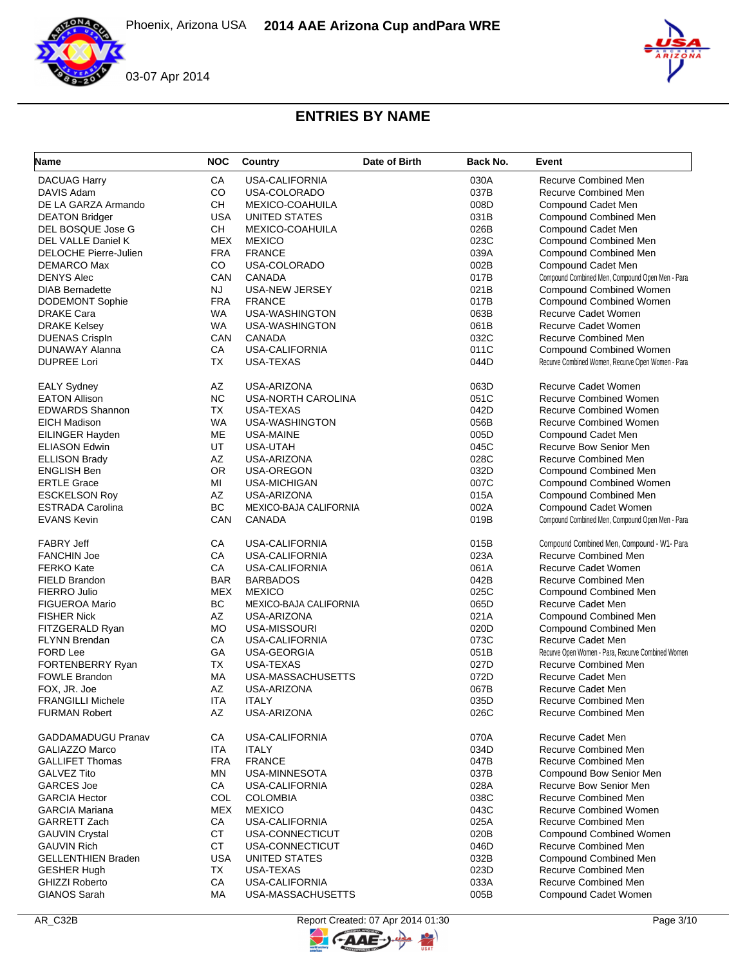



| Name                      | <b>NOC</b> | Country                | Date of Birth | Back No. | Event                                               |
|---------------------------|------------|------------------------|---------------|----------|-----------------------------------------------------|
| <b>DACUAG Harry</b>       | CA         | USA-CALIFORNIA         |               | 030A     | <b>Recurve Combined Men</b>                         |
| DAVIS Adam                | CO         | USA-COLORADO           |               | 037B     | Recurve Combined Men                                |
| DE LA GARZA Armando       | <b>CH</b>  | <b>MEXICO-COAHUILA</b> |               | 008D     | Compound Cadet Men                                  |
| <b>DEATON Bridger</b>     | <b>USA</b> | UNITED STATES          |               | 031B     | <b>Compound Combined Men</b>                        |
| DEL BOSQUE Jose G         | CH.        | MEXICO-COAHUILA        |               | 026B     | Compound Cadet Men                                  |
| DEL VALLE Daniel K        | <b>MEX</b> | <b>MEXICO</b>          |               | 023C     | <b>Compound Combined Men</b>                        |
| DELOCHE Pierre-Julien     | <b>FRA</b> | <b>FRANCE</b>          |               | 039A     | Compound Combined Men                               |
| DEMARCO Max               | CO         | USA-COLORADO           |               | 002B     | Compound Cadet Men                                  |
| <b>DENYS Alec</b>         | CAN        | <b>CANADA</b>          |               | 017B     | Compound Combined Men, Compound Open Men - Para     |
| <b>DIAB Bernadette</b>    | <b>NJ</b>  | <b>USA-NEW JERSEY</b>  |               | 021B     | Compound Combined Women                             |
| <b>DODEMONT Sophie</b>    | <b>FRA</b> | <b>FRANCE</b>          |               | 017B     | Compound Combined Women                             |
| <b>DRAKE Cara</b>         | WA         | USA-WASHINGTON         |               | 063B     | Recurve Cadet Women                                 |
| <b>DRAKE Kelsey</b>       | <b>WA</b>  | USA-WASHINGTON         |               | 061B     | Recurve Cadet Women                                 |
| <b>DUENAS CrispIn</b>     | CAN        | <b>CANADA</b>          |               | 032C     | <b>Recurve Combined Men</b>                         |
| DUNAWAY Alanna            | CA         | <b>USA-CALIFORNIA</b>  |               | 011C     | <b>Compound Combined Women</b>                      |
| <b>DUPREE Lori</b>        | <b>TX</b>  | USA-TEXAS              |               | 044D     | Recurve Combined Women, Recurve Open Women - Para   |
|                           |            |                        |               |          |                                                     |
| <b>EALY Sydney</b>        | AZ         | USA-ARIZONA            |               | 063D     | <b>Recurve Cadet Women</b>                          |
| <b>EATON Allison</b>      | <b>NC</b>  | USA-NORTH CAROLINA     |               | 051C     | <b>Recurve Combined Women</b>                       |
| <b>EDWARDS Shannon</b>    | <b>TX</b>  | USA-TEXAS              |               | 042D     | <b>Recurve Combined Women</b>                       |
| <b>EICH Madison</b>       | <b>WA</b>  | USA-WASHINGTON         |               | 056B     | <b>Recurve Combined Women</b>                       |
| EILINGER Hayden           | ME         | USA-MAINE              |               | 005D     | Compound Cadet Men                                  |
| <b>ELIASON Edwin</b>      | UT         | USA-UTAH               |               | 045C     | Recurve Bow Senior Men                              |
| <b>ELLISON Brady</b>      | AZ         | USA-ARIZONA            |               | 028C     | <b>Recurve Combined Men</b>                         |
| <b>ENGLISH Ben</b>        | <b>OR</b>  | USA-OREGON             |               | 032D     | <b>Compound Combined Men</b>                        |
| <b>ERTLE Grace</b>        | MI         | <b>USA-MICHIGAN</b>    |               | 007C     | <b>Compound Combined Women</b>                      |
| <b>ESCKELSON Roy</b>      | AZ         | USA-ARIZONA            |               | 015A     | <b>Compound Combined Men</b>                        |
| <b>ESTRADA Carolina</b>   | BC         | MEXICO-BAJA CALIFORNIA |               | 002A     | Compound Cadet Women                                |
| <b>EVANS Kevin</b>        | CAN        | <b>CANADA</b>          |               | 019B     | Compound Combined Men, Compound Open Men - Para     |
| <b>FABRY Jeff</b>         | CA         | <b>USA-CALIFORNIA</b>  |               | 015B     | Compound Combined Men, Compound - W1- Para          |
| <b>FANCHIN Joe</b>        | CA         | USA-CALIFORNIA         |               | 023A     | <b>Recurve Combined Men</b>                         |
| <b>FERKO Kate</b>         | CA         | <b>USA-CALIFORNIA</b>  |               | 061A     | <b>Recurve Cadet Women</b>                          |
| FIELD Brandon             | <b>BAR</b> | <b>BARBADOS</b>        |               | 042B     | Recurve Combined Men                                |
| FIERRO Julio              | <b>MEX</b> | <b>MEXICO</b>          |               | 025C     | <b>Compound Combined Men</b>                        |
| <b>FIGUEROA Mario</b>     | BC         | MEXICO-BAJA CALIFORNIA |               | 065D     | Recurve Cadet Men                                   |
| <b>FISHER Nick</b>        | AZ         | USA-ARIZONA            |               | 021A     | <b>Compound Combined Men</b>                        |
| FITZGERALD Ryan           | <b>MO</b>  | USA-MISSOURI           |               | 020D     | Compound Combined Men                               |
| <b>FLYNN Brendan</b>      | СA         | USA-CALIFORNIA         |               | 073C     | Recurve Cadet Men                                   |
| FORD Lee                  | GA         | USA-GEORGIA            |               | 051B     | Recurve Open Women - Para, Recurve Combined Women   |
| FORTENBERRY Ryan          | <b>TX</b>  | <b>USA-TEXAS</b>       |               | 027D     | <b>Recurve Combined Men</b>                         |
| <b>FOWLE Brandon</b>      | МA         | USA-MASSACHUSETTS      |               | 072D     | Recurve Cadet Men                                   |
| FOX, JR. Joe              | AZ         | USA-ARIZONA            |               | 067B     | Recurve Cadet Men                                   |
| <b>FRANGILLI Michele</b>  | <b>ITA</b> | <b>ITALY</b>           |               | 035D     | Recurve Combined Men                                |
| <b>FURMAN Robert</b>      | AZ         | USA-ARIZONA            |               | 026C     | Recurve Combined Men                                |
| <b>GADDAMADUGU Pranav</b> | СA         | <b>USA-CALIFORNIA</b>  |               | 070A     | <b>Recurve Cadet Men</b>                            |
| <b>GALIAZZO Marco</b>     | <b>ITA</b> | <b>ITALY</b>           |               | 034D     | <b>Recurve Combined Men</b>                         |
| <b>GALLIFET Thomas</b>    | <b>FRA</b> | <b>FRANCE</b>          |               | 047B     | Recurve Combined Men                                |
| <b>GALVEZ Tito</b>        | MN         | USA-MINNESOTA          |               | 037B     | Compound Bow Senior Men                             |
| <b>GARCES Joe</b>         | CA         | USA-CALIFORNIA         |               | 028A     | Recurve Bow Senior Men                              |
| <b>GARCIA Hector</b>      | COL        | <b>COLOMBIA</b>        |               | 038C     | Recurve Combined Men                                |
| <b>GARCIA Mariana</b>     | <b>MEX</b> | <b>MEXICO</b>          |               | 043C     | <b>Recurve Combined Women</b>                       |
| GARRETT Zach              | CA         | <b>USA-CALIFORNIA</b>  |               | 025A     | Recurve Combined Men                                |
| <b>GAUVIN Crystal</b>     | <b>CT</b>  | USA-CONNECTICUT        |               | 020B     | <b>Compound Combined Women</b>                      |
| <b>GAUVIN Rich</b>        | <b>CT</b>  | USA-CONNECTICUT        |               | 046D     | <b>Recurve Combined Men</b>                         |
| <b>GELLENTHIEN Braden</b> | <b>USA</b> | UNITED STATES          |               | 032B     | <b>Compound Combined Men</b>                        |
|                           |            |                        |               |          |                                                     |
| <b>GESHER Hugh</b>        | TX         | USA-TEXAS              |               | 023D     | Recurve Combined Men<br><b>Recurve Combined Men</b> |
| <b>GHIZZI Roberto</b>     | CA         | USA-CALIFORNIA         |               | 033A     |                                                     |
| <b>GIANOS Sarah</b>       | MA         | USA-MASSACHUSETTS      |               | 005B     | Compound Cadet Women                                |

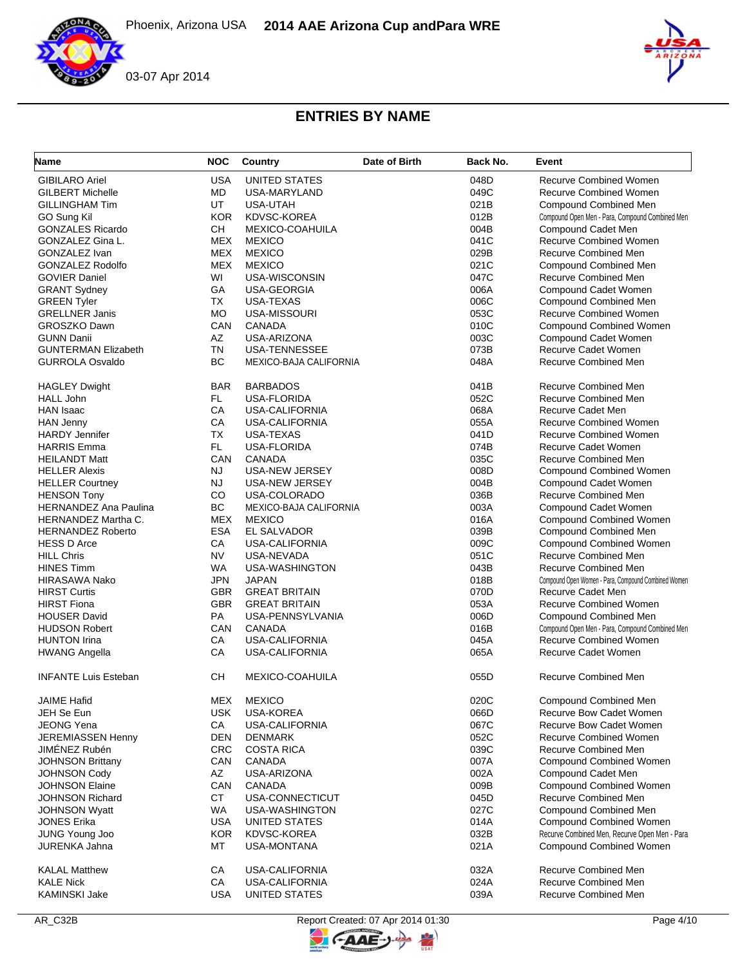



| Name                                     | <b>NOC</b> | Country                | Date of Birth | Back No. | Event                                               |
|------------------------------------------|------------|------------------------|---------------|----------|-----------------------------------------------------|
| <b>GIBILARO Ariel</b>                    | <b>USA</b> | UNITED STATES          |               | 048D     | <b>Recurve Combined Women</b>                       |
| <b>GILBERT Michelle</b>                  | <b>MD</b>  | USA-MARYLAND           |               | 049C     | <b>Recurve Combined Women</b>                       |
| <b>GILLINGHAM Tim</b>                    | UT         | USA-UTAH               |               | 021B     | <b>Compound Combined Men</b>                        |
| GO Sung Kil                              | <b>KOR</b> | KDVSC-KOREA            |               | 012B     | Compound Open Men - Para, Compound Combined Men     |
| <b>GONZALES Ricardo</b>                  | <b>CH</b>  | <b>MEXICO-COAHUILA</b> |               | 004B     | Compound Cadet Men                                  |
| GONZALEZ Gina L.                         | <b>MEX</b> | <b>MEXICO</b>          |               | 041C     | <b>Recurve Combined Women</b>                       |
| GONZALEZ Ivan                            | <b>MEX</b> | <b>MEXICO</b>          |               | 029B     | <b>Recurve Combined Men</b>                         |
| <b>GONZALEZ Rodolfo</b>                  | <b>MEX</b> | <b>MEXICO</b>          |               | 021C     | Compound Combined Men                               |
| <b>GOVIER Daniel</b>                     | WI         | USA-WISCONSIN          |               | 047C     | <b>Recurve Combined Men</b>                         |
| <b>GRANT Sydney</b>                      | GA         | USA-GEORGIA            |               | 006A     | Compound Cadet Women                                |
| <b>GREEN Tyler</b>                       | TX         | USA-TEXAS              |               | 006C     | <b>Compound Combined Men</b>                        |
| <b>GRELLNER Janis</b>                    | <b>MO</b>  | USA-MISSOURI           |               | 053C     | Recurve Combined Women                              |
| <b>GROSZKO Dawn</b>                      | CAN        | CANADA                 |               | 010C     | Compound Combined Women                             |
| <b>GUNN Danii</b>                        | AZ         | USA-ARIZONA            |               | 003C     | Compound Cadet Women                                |
| <b>GUNTERMAN Elizabeth</b>               | <b>TN</b>  | <b>USA-TENNESSEE</b>   |               | 073B     | <b>Recurve Cadet Women</b>                          |
| <b>GURROLA Osvaldo</b>                   | <b>BC</b>  | MEXICO-BAJA CALIFORNIA |               | 048A     | <b>Recurve Combined Men</b>                         |
|                                          |            |                        |               |          |                                                     |
| <b>HAGLEY Dwight</b>                     | <b>BAR</b> | <b>BARBADOS</b>        |               | 041B     | <b>Recurve Combined Men</b>                         |
| <b>HALL John</b>                         | FL         | USA-FLORIDA            |               | 052C     | <b>Recurve Combined Men</b>                         |
| <b>HAN Isaac</b>                         | CA         | <b>USA-CALIFORNIA</b>  |               | 068A     | <b>Recurve Cadet Men</b>                            |
| <b>HAN Jenny</b>                         | CA         | USA-CALIFORNIA         |               | 055A     | <b>Recurve Combined Women</b>                       |
| <b>HARDY Jennifer</b>                    | <b>TX</b>  | USA-TEXAS              |               | 041D     | <b>Recurve Combined Women</b>                       |
| <b>HARRIS Emma</b>                       | FL.        | <b>USA-FLORIDA</b>     |               | 074B     | Recurve Cadet Women                                 |
| <b>HEILANDT Matt</b>                     | CAN        | <b>CANADA</b>          |               | 035C     | <b>Recurve Combined Men</b>                         |
| <b>HELLER Alexis</b>                     | <b>NJ</b>  | USA-NEW JERSEY         |               | 008D     | Compound Combined Women                             |
| <b>HELLER Courtney</b>                   | <b>NJ</b>  | USA-NEW JERSEY         |               | 004B     | Compound Cadet Women                                |
| <b>HENSON Tony</b>                       | CO         | USA-COLORADO           |               | 036B     | <b>Recurve Combined Men</b>                         |
| <b>HERNANDEZ Ana Paulina</b>             | BC         | MEXICO-BAJA CALIFORNIA |               | 003A     | Compound Cadet Women                                |
| <b>HERNANDEZ Martha C.</b>               | <b>MEX</b> | <b>MEXICO</b>          |               | 016A     | <b>Compound Combined Women</b>                      |
| <b>HERNANDEZ Roberto</b>                 | <b>ESA</b> | EL SALVADOR            |               | 039B     | Compound Combined Men                               |
| <b>HESS D Arce</b>                       | CA         | USA-CALIFORNIA         |               | 009C     | Compound Combined Women                             |
| <b>HILL Chris</b>                        | <b>NV</b>  | USA-NEVADA             |               | 051C     | <b>Recurve Combined Men</b>                         |
| <b>HINES Timm</b>                        | <b>WA</b>  | USA-WASHINGTON         |               | 043B     | Recurve Combined Men                                |
| <b>HIRASAWA Nako</b>                     | <b>JPN</b> | <b>JAPAN</b>           |               | 018B     | Compound Open Women - Para, Compound Combined Women |
| <b>HIRST Curtis</b>                      | <b>GBR</b> | <b>GREAT BRITAIN</b>   |               | 070D     | Recurve Cadet Men                                   |
| <b>HIRST Fiona</b>                       | <b>GBR</b> | <b>GREAT BRITAIN</b>   |               | 053A     | <b>Recurve Combined Women</b>                       |
| <b>HOUSER David</b>                      | PA         | USA-PENNSYLVANIA       |               | 006D     | <b>Compound Combined Men</b>                        |
| <b>HUDSON Robert</b>                     | CAN        | <b>CANADA</b>          |               | 016B     | Compound Open Men - Para, Compound Combined Men     |
| <b>HUNTON Irina</b>                      | CA         | <b>USA-CALIFORNIA</b>  |               | 045A     | Recurve Combined Women                              |
| <b>HWANG Angella</b>                     | CA         | USA-CALIFORNIA         |               | 065A     | Recurve Cadet Women                                 |
| <b>INFANTE Luis Esteban</b>              | CН         | <b>MEXICO-COAHUILA</b> |               | 055D     | <b>Recurve Combined Men</b>                         |
| <b>JAIME Hafid</b>                       | <b>MEX</b> | <b>MEXICO</b>          |               | 020C     | Compound Combined Men                               |
| JEH Se Eun                               | <b>USK</b> | USA-KOREA              |               | 066D     | <b>Recurve Bow Cadet Women</b>                      |
| <b>JEONG Yena</b>                        | CA         | USA-CALIFORNIA         |               | 067C     | Recurve Bow Cadet Women                             |
| <b>JEREMIASSEN Henny</b>                 | DEN        | <b>DENMARK</b>         |               | 052C     | <b>Recurve Combined Women</b>                       |
| JIMÉNEZ Rubén                            | <b>CRC</b> | <b>COSTA RICA</b>      |               | 039C     | <b>Recurve Combined Men</b>                         |
| <b>JOHNSON Brittany</b>                  | CAN        | CANADA                 |               | 007A     | <b>Compound Combined Women</b>                      |
| <b>JOHNSON Cody</b>                      | AZ         | USA-ARIZONA            |               | 002A     | Compound Cadet Men                                  |
| <b>JOHNSON Elaine</b>                    | CAN        | CANADA                 |               | 009B     | Compound Combined Women                             |
| <b>JOHNSON Richard</b>                   | <b>CT</b>  | USA-CONNECTICUT        |               | 045D     | Recurve Combined Men                                |
| <b>JOHNSON Wyatt</b>                     | WA.        | USA-WASHINGTON         |               | 027C     | Compound Combined Men                               |
| <b>JONES Erika</b>                       | <b>USA</b> | UNITED STATES          |               | 014A     | <b>Compound Combined Women</b>                      |
| JUNG Young Joo                           | <b>KOR</b> | KDVSC-KOREA            |               | 032B     | Recurve Combined Men, Recurve Open Men - Para       |
| <b>JURENKA Jahna</b>                     | МT         | <b>USA-MONTANA</b>     |               | 021A     | <b>Compound Combined Women</b>                      |
|                                          |            |                        |               |          | Recurve Combined Men                                |
| <b>KALAL Matthew</b><br><b>KALE Nick</b> | СA         | USA-CALIFORNIA         |               | 032A     | Recurve Combined Men                                |
|                                          | CA         | USA-CALIFORNIA         |               | 024A     |                                                     |
| KAMINSKI Jake                            | <b>USA</b> | UNITED STATES          |               | 039A     | Recurve Combined Men                                |

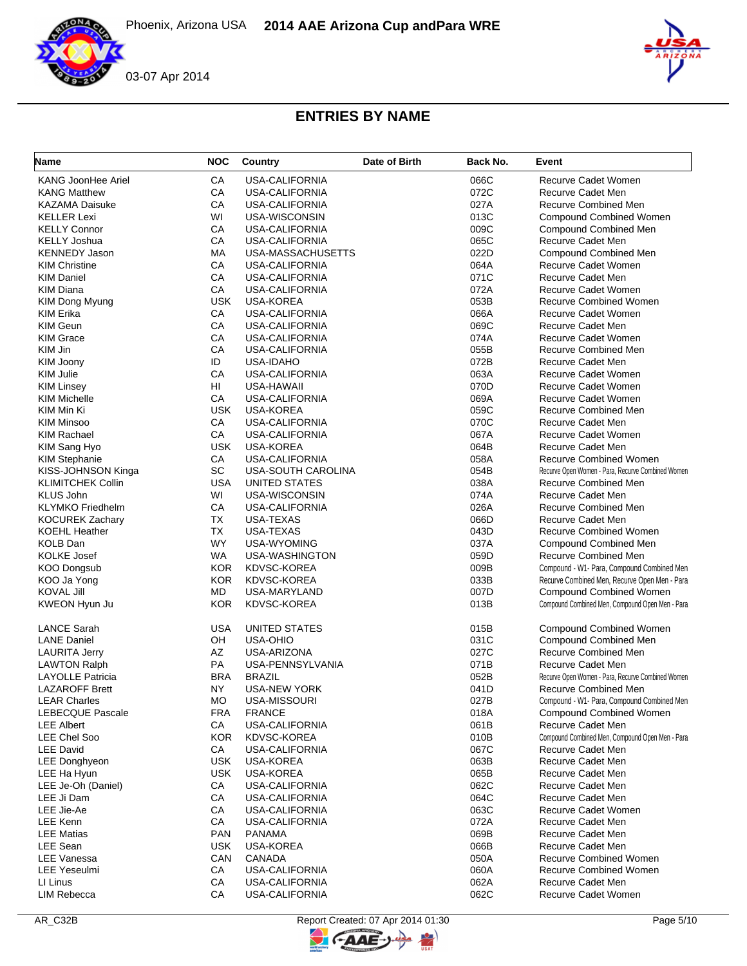



| Name                      | <b>NOC</b> | Country               | Date of Birth | Back No. | Event                                             |
|---------------------------|------------|-----------------------|---------------|----------|---------------------------------------------------|
| <b>KANG JoonHee Ariel</b> | CA         | USA-CALIFORNIA        |               | 066C     | <b>Recurve Cadet Women</b>                        |
| <b>KANG Matthew</b>       | CA         | <b>USA-CALIFORNIA</b> |               | 072C     | Recurve Cadet Men                                 |
| <b>KAZAMA Daisuke</b>     | CA         | <b>USA-CALIFORNIA</b> |               | 027A     | Recurve Combined Men                              |
| <b>KELLER Lexi</b>        | WI         | USA-WISCONSIN         |               | 013C     | <b>Compound Combined Women</b>                    |
| <b>KELLY Connor</b>       | CA         | USA-CALIFORNIA        |               | 009C     | Compound Combined Men                             |
| <b>KELLY Joshua</b>       | CA         | <b>USA-CALIFORNIA</b> |               | 065C     | Recurve Cadet Men                                 |
| <b>KENNEDY Jason</b>      | МA         | USA-MASSACHUSETTS     |               | 022D     | Compound Combined Men                             |
| <b>KIM Christine</b>      | CA         | <b>USA-CALIFORNIA</b> |               | 064A     | Recurve Cadet Women                               |
| <b>KIM Daniel</b>         | CA         | <b>USA-CALIFORNIA</b> |               | 071C     | Recurve Cadet Men                                 |
| <b>KIM Diana</b>          | СA         | USA-CALIFORNIA        |               | 072A     | Recurve Cadet Women                               |
| KIM Dong Myung            | <b>USK</b> | <b>USA-KOREA</b>      |               | 053B     | <b>Recurve Combined Women</b>                     |
| <b>KIM Erika</b>          | CA         | <b>USA-CALIFORNIA</b> |               | 066A     | <b>Recurve Cadet Women</b>                        |
| <b>KIM Geun</b>           | CA         | USA-CALIFORNIA        |               | 069C     | Recurve Cadet Men                                 |
| <b>KIM Grace</b>          | CA         | <b>USA-CALIFORNIA</b> |               | 074A     | Recurve Cadet Women                               |
| KIM Jin                   | CA         | USA-CALIFORNIA        |               | 055B     | <b>Recurve Combined Men</b>                       |
| KIM Joony                 | ID         | <b>USA-IDAHO</b>      |               | 072B     | Recurve Cadet Men                                 |
| <b>KIM Julie</b>          | CA         | <b>USA-CALIFORNIA</b> |               | 063A     | Recurve Cadet Women                               |
| <b>KIM Linsey</b>         | HI         | USA-HAWAII            |               | 070D     | <b>Recurve Cadet Women</b>                        |
| <b>KIM Michelle</b>       | CA         | <b>USA-CALIFORNIA</b> |               | 069A     | <b>Recurve Cadet Women</b>                        |
| KIM Min Ki                | <b>USK</b> | USA-KOREA             |               | 059C     | <b>Recurve Combined Men</b>                       |
| <b>KIM Minsoo</b>         | CA         | <b>USA-CALIFORNIA</b> |               | 070C     | Recurve Cadet Men                                 |
| <b>KIM Rachael</b>        | CA         | <b>USA-CALIFORNIA</b> |               | 067A     | <b>Recurve Cadet Women</b>                        |
| KIM Sang Hyo              | <b>USK</b> | USA-KOREA             |               | 064B     | Recurve Cadet Men                                 |
| <b>KIM Stephanie</b>      | CA         | USA-CALIFORNIA        |               | 058A     | <b>Recurve Combined Women</b>                     |
| KISS-JOHNSON Kinga        | SC         | USA-SOUTH CAROLINA    |               | 054B     | Recurve Open Women - Para, Recurve Combined Women |
| <b>KLIMITCHEK Collin</b>  | <b>USA</b> |                       |               | 038A     |                                                   |
|                           |            | UNITED STATES         |               |          | Recurve Combined Men<br>Recurve Cadet Men         |
| <b>KLUS John</b>          | WI         | USA-WISCONSIN         |               | 074A     |                                                   |
| <b>KLYMKO</b> Friedhelm   | СA         | <b>USA-CALIFORNIA</b> |               | 026A     | Recurve Combined Men                              |
| <b>KOCUREK Zachary</b>    | ТX         | USA-TEXAS             |               | 066D     | Recurve Cadet Men                                 |
| <b>KOEHL Heather</b>      | TX         | USA-TEXAS             |               | 043D     | <b>Recurve Combined Women</b>                     |
| <b>KOLB Dan</b>           | <b>WY</b>  | USA-WYOMING           |               | 037A     | <b>Compound Combined Men</b>                      |
| <b>KOLKE Josef</b>        | <b>WA</b>  | USA-WASHINGTON        |               | 059D     | <b>Recurve Combined Men</b>                       |
| <b>KOO Dongsub</b>        | <b>KOR</b> | KDVSC-KOREA           |               | 009B     | Compound - W1- Para, Compound Combined Men        |
| KOO Ja Yong               | <b>KOR</b> | <b>KDVSC-KOREA</b>    |               | 033B     | Recurve Combined Men, Recurve Open Men - Para     |
| <b>KOVAL Jill</b>         | MD.        | USA-MARYLAND          |               | 007D     | <b>Compound Combined Women</b>                    |
| KWEON Hyun Ju             | <b>KOR</b> | <b>KDVSC-KOREA</b>    |               | 013B     | Compound Combined Men, Compound Open Men - Para   |
| <b>LANCE Sarah</b>        | USA        | UNITED STATES         |               | 015B     | <b>Compound Combined Women</b>                    |
| <b>LANE Daniel</b>        | OH         | <b>USA-OHIO</b>       |               | 031C     | Compound Combined Men                             |
| <b>LAURITA Jerry</b>      | AZ         | USA-ARIZONA           |               | 027C     | Recurve Combined Men                              |
| <b>LAWTON Ralph</b>       | PA         | USA-PENNSYLVANIA      |               | 071B     | Recurve Cadet Men                                 |
| <b>LAYOLLE Patricia</b>   | <b>BRA</b> | <b>BRAZIL</b>         |               | 052B     | Recurve Open Women - Para, Recurve Combined Women |
| <b>LAZAROFF Brett</b>     | NY         | <b>USA-NEW YORK</b>   |               | 041D     | Recurve Combined Men                              |
| <b>LEAR Charles</b>       | MO         | USA-MISSOURI          |               | 027B     | Compound - W1- Para, Compound Combined Men        |
| <b>LEBECQUE Pascale</b>   | <b>FRA</b> | <b>FRANCE</b>         |               | 018A     | <b>Compound Combined Women</b>                    |
| <b>LEE Albert</b>         | СA         | USA-CALIFORNIA        |               | 061B     | Recurve Cadet Men                                 |
| <b>LEE Chel Soo</b>       | <b>KOR</b> | <b>KDVSC-KOREA</b>    |               | 010B     | Compound Combined Men, Compound Open Men - Para   |
| <b>LEE David</b>          | СA         | USA-CALIFORNIA        |               | 067C     | Recurve Cadet Men                                 |
| <b>LEE Donghyeon</b>      | <b>USK</b> | <b>USA-KOREA</b>      |               | 063B     | Recurve Cadet Men                                 |
| LEE Ha Hyun               | <b>USK</b> | USA-KOREA             |               | 065B     | Recurve Cadet Men                                 |
| LEE Je-Oh (Daniel)        | CA         | USA-CALIFORNIA        |               | 062C     | Recurve Cadet Men                                 |
| LEE Ji Dam                | CA         | USA-CALIFORNIA        |               | 064C     | Recurve Cadet Men                                 |
| LEE Jie-Ae                | СA         | USA-CALIFORNIA        |               | 063C     | Recurve Cadet Women                               |
| <b>LEE Kenn</b>           | CA         | <b>USA-CALIFORNIA</b> |               | 072A     | Recurve Cadet Men                                 |
| <b>LEE Matias</b>         | PAN        | <b>PANAMA</b>         |               | 069B     | Recurve Cadet Men                                 |
| <b>LEE Sean</b>           | USK.       | <b>USA-KOREA</b>      |               | 066B     | Recurve Cadet Men                                 |
| <b>LEE Vanessa</b>        | CAN        | CANADA                |               | 050A     | <b>Recurve Combined Women</b>                     |
|                           |            |                       |               |          | <b>Recurve Combined Women</b>                     |
| <b>LEE Yeseulmi</b>       | CA         | USA-CALIFORNIA        |               | 060A     |                                                   |
| LI Linus                  | CA         | USA-CALIFORNIA        |               | 062A     | Recurve Cadet Men                                 |
| <b>LIM Rebecca</b>        | CA         | USA-CALIFORNIA        |               | 062C     | Recurve Cadet Women                               |

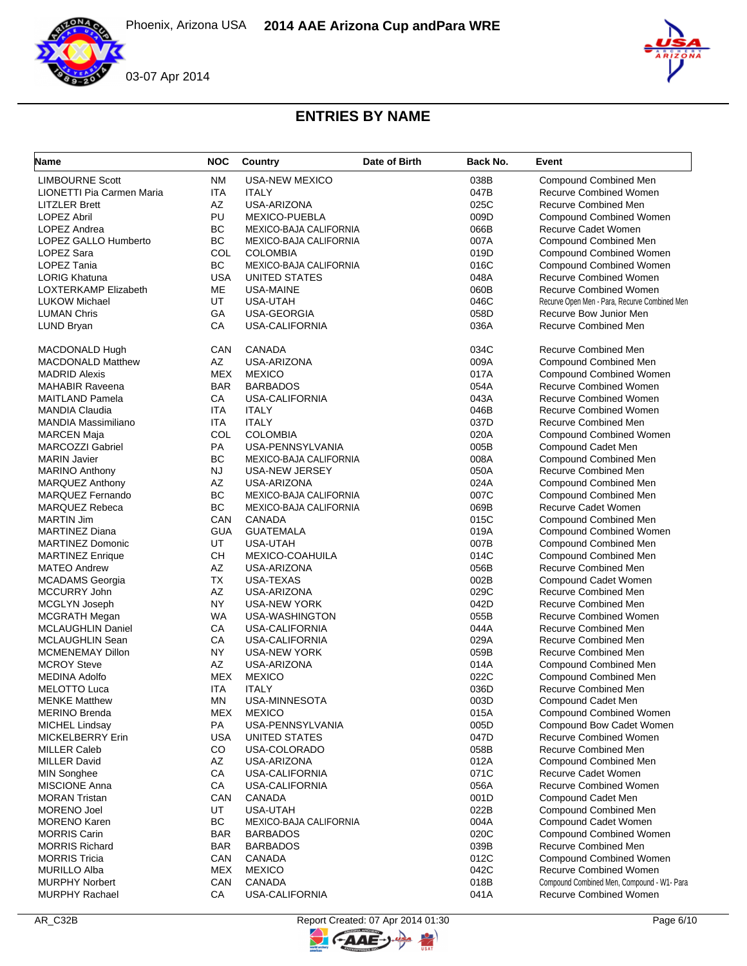



| <b>Name</b>                      | <b>NOC</b> | Country                       | Date of Birth | Back No. | Event                                         |
|----------------------------------|------------|-------------------------------|---------------|----------|-----------------------------------------------|
| <b>LIMBOURNE Scott</b>           | <b>NM</b>  | <b>USA-NEW MEXICO</b>         |               | 038B     | <b>Compound Combined Men</b>                  |
| <b>LIONETTI Pia Carmen Maria</b> | <b>ITA</b> | <b>ITALY</b>                  |               | 047B     | <b>Recurve Combined Women</b>                 |
| <b>LITZLER Brett</b>             | <b>AZ</b>  | USA-ARIZONA                   |               | 025C     | <b>Recurve Combined Men</b>                   |
| <b>LOPEZ Abril</b>               | PU         | MEXICO-PUEBLA                 |               | 009D     | <b>Compound Combined Women</b>                |
| LOPEZ Andrea                     | <b>BC</b>  | MEXICO-BAJA CALIFORNIA        |               | 066B     | Recurve Cadet Women                           |
| LOPEZ GALLO Humberto             | BC         | MEXICO-BAJA CALIFORNIA        |               | 007A     | <b>Compound Combined Men</b>                  |
| LOPEZ Sara                       | COL        | <b>COLOMBIA</b>               |               | 019D     | <b>Compound Combined Women</b>                |
| <b>LOPEZ Tania</b>               | <b>BC</b>  | MEXICO-BAJA CALIFORNIA        |               | 016C     | <b>Compound Combined Women</b>                |
| <b>LORIG Khatuna</b>             | <b>USA</b> | UNITED STATES                 |               | 048A     | <b>Recurve Combined Women</b>                 |
| LOXTERKAMP Elizabeth             | ME         | USA-MAINE                     |               | 060B     | <b>Recurve Combined Women</b>                 |
| <b>LUKOW Michael</b>             | UT         | USA-UTAH                      |               | 046C     | Recurve Open Men - Para, Recurve Combined Men |
| <b>LUMAN Chris</b>               | GA         | USA-GEORGIA                   |               | 058D     | Recurve Bow Junior Men                        |
| LUND Bryan                       | CA         | USA-CALIFORNIA                |               | 036A     | <b>Recurve Combined Men</b>                   |
| MACDONALD Hugh                   | CAN        | <b>CANADA</b>                 |               | 034C     | Recurve Combined Men                          |
| <b>MACDONALD Matthew</b>         | AZ         | USA-ARIZONA                   |               | 009A     | Compound Combined Men                         |
| <b>MADRID Alexis</b>             | <b>MEX</b> | <b>MEXICO</b>                 |               | 017A     | Compound Combined Women                       |
| <b>MAHABIR Raveena</b>           | <b>BAR</b> | <b>BARBADOS</b>               |               | 054A     | <b>Recurve Combined Women</b>                 |
| <b>MAITLAND Pamela</b>           | CA         | <b>USA-CALIFORNIA</b>         |               | 043A     | <b>Recurve Combined Women</b>                 |
| <b>MANDIA Claudia</b>            | <b>ITA</b> | <b>ITALY</b>                  |               | 046B     | <b>Recurve Combined Women</b>                 |
| <b>MANDIA Massimiliano</b>       | <b>ITA</b> | <b>ITALY</b>                  |               | 037D     | <b>Recurve Combined Men</b>                   |
| <b>MARCEN Maja</b>               | COL        | <b>COLOMBIA</b>               |               | 020A     | <b>Compound Combined Women</b>                |
| MARCOZZI Gabriel                 | PA         | USA-PENNSYLVANIA              |               | 005B     | Compound Cadet Men                            |
| <b>MARIN Javier</b>              | BC         | MEXICO-BAJA CALIFORNIA        |               | 008A     | Compound Combined Men                         |
| <b>MARINO Anthony</b>            | <b>NJ</b>  | USA-NEW JERSEY                |               | 050A     | <b>Recurve Combined Men</b>                   |
| <b>MARQUEZ Anthony</b>           | AZ         | USA-ARIZONA                   |               | 024A     | <b>Compound Combined Men</b>                  |
| MARQUEZ Fernando                 | BC         | <b>MEXICO-BAJA CALIFORNIA</b> |               | 007C     | <b>Compound Combined Men</b>                  |
| <b>MARQUEZ Rebeca</b>            | BC         | MEXICO-BAJA CALIFORNIA        |               | 069B     | Recurve Cadet Women                           |
| <b>MARTIN Jim</b>                | CAN        | <b>CANADA</b>                 |               | 015C     | <b>Compound Combined Men</b>                  |
| <b>MARTINEZ Diana</b>            | <b>GUA</b> | <b>GUATEMALA</b>              |               | 019A     | <b>Compound Combined Women</b>                |
| <b>MARTINEZ Domonic</b>          | UT         | USA-UTAH                      |               | 007B     | Compound Combined Men                         |
| <b>MARTINEZ Enrique</b>          | CH         | MEXICO-COAHUILA               |               | 014C     | <b>Compound Combined Men</b>                  |
| <b>MATEO Andrew</b>              | AZ         | USA-ARIZONA                   |               | 056B     | Recurve Combined Men                          |
| <b>MCADAMS</b> Georgia           | <b>TX</b>  | USA-TEXAS                     |               | 002B     | Compound Cadet Women                          |
| MCCURRY John                     | AZ         | USA-ARIZONA                   |               | 029C     | Recurve Combined Men                          |
| MCGLYN Joseph                    | <b>NY</b>  | <b>USA-NEW YORK</b>           |               | 042D     | <b>Recurve Combined Men</b>                   |
| <b>MCGRATH Megan</b>             | <b>WA</b>  | USA-WASHINGTON                |               | 055B     | <b>Recurve Combined Women</b>                 |
| <b>MCLAUGHLIN Daniel</b>         | CA         | <b>USA-CALIFORNIA</b>         |               | 044A     | Recurve Combined Men                          |
| MCLAUGHLIN Sean                  | CA         | USA-CALIFORNIA                |               | 029A     | <b>Recurve Combined Men</b>                   |
| <b>MCMENEMAY Dillon</b>          | <b>NY</b>  | <b>USA-NEW YORK</b>           |               | 059B     | Recurve Combined Men                          |
| <b>MCROY Steve</b>               | AZ         | USA-ARIZONA                   |               | 014A     | <b>Compound Combined Men</b>                  |
| <b>MEDINA Adolfo</b>             | <b>MEX</b> | <b>MEXICO</b>                 |               | 022C     | Compound Combined Men                         |
| <b>MELOTTO Luca</b>              | <b>ITA</b> | <b>ITALY</b>                  |               | 036D     | <b>Recurve Combined Men</b>                   |
| <b>MENKE Matthew</b>             | МN         | USA-MINNESOTA                 |               | 003D     | Compound Cadet Men                            |
| <b>MERINO Brenda</b>             | MEX        | <b>MEXICO</b>                 |               | 015A     | <b>Compound Combined Women</b>                |
| <b>MICHEL Lindsay</b>            | PA         | USA-PENNSYLVANIA              |               | 005D     | Compound Bow Cadet Women                      |
| MICKELBERRY Erin                 | <b>USA</b> | UNITED STATES                 |               | 047D     | <b>Recurve Combined Women</b>                 |
| <b>MILLER Caleb</b>              | CO         | USA-COLORADO                  |               | 058B     | Recurve Combined Men                          |
| <b>MILLER David</b>              | AZ         | USA-ARIZONA                   |               | 012A     | Compound Combined Men                         |
| <b>MIN Songhee</b>               | CA         | USA-CALIFORNIA                |               | 071C     | Recurve Cadet Women                           |
| <b>MISCIONE Anna</b>             | CA         | <b>USA-CALIFORNIA</b>         |               | 056A     | <b>Recurve Combined Women</b>                 |
| <b>MORAN Tristan</b>             | CAN        | <b>CANADA</b>                 |               | 001D     | Compound Cadet Men                            |
| MORENO Joel                      | UT         | USA-UTAH                      |               | 022B     | <b>Compound Combined Men</b>                  |
| <b>MORENO Karen</b>              | <b>BC</b>  | MEXICO-BAJA CALIFORNIA        |               | 004A     | Compound Cadet Women                          |
| <b>MORRIS Carin</b>              | <b>BAR</b> | <b>BARBADOS</b>               |               | 020C     | <b>Compound Combined Women</b>                |
| <b>MORRIS Richard</b>            | <b>BAR</b> | <b>BARBADOS</b>               |               | 039B     | <b>Recurve Combined Men</b>                   |
| <b>MORRIS Tricia</b>             | CAN        | CANADA                        |               | 012C     | <b>Compound Combined Women</b>                |
| <b>MURILLO Alba</b>              | MEX        | <b>MEXICO</b>                 |               | 042C     | <b>Recurve Combined Women</b>                 |
| <b>MURPHY Norbert</b>            | CAN        | CANADA                        |               | 018B     | Compound Combined Men, Compound - W1- Para    |
| <b>MURPHY Rachael</b>            | CA         | USA-CALIFORNIA                |               | 041A     | <b>Recurve Combined Women</b>                 |

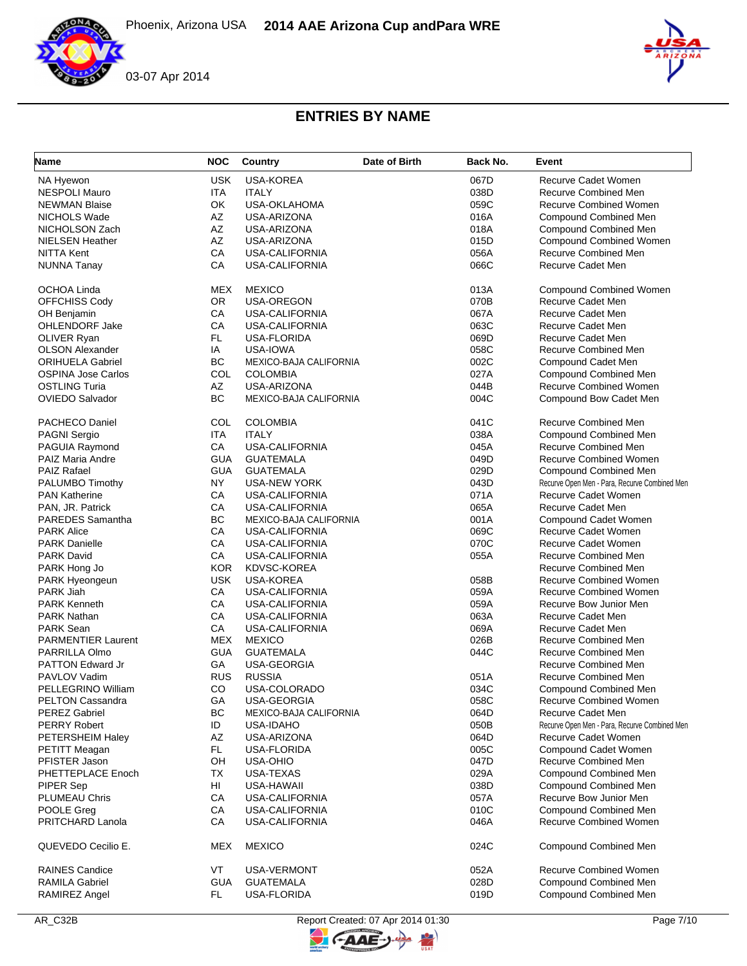

| Name                      | <b>NOC</b> | Country                | Date of Birth | Back No. | Event                                         |
|---------------------------|------------|------------------------|---------------|----------|-----------------------------------------------|
| NA Hyewon                 | <b>USK</b> | <b>USA-KOREA</b>       |               | 067D     | <b>Recurve Cadet Women</b>                    |
| <b>NESPOLI Mauro</b>      | <b>ITA</b> | <b>ITALY</b>           |               | 038D     | <b>Recurve Combined Men</b>                   |
| <b>NEWMAN Blaise</b>      | OK         | USA-OKLAHOMA           |               | 059C     | <b>Recurve Combined Women</b>                 |
| NICHOLS Wade              | AZ         | USA-ARIZONA            |               | 016A     | <b>Compound Combined Men</b>                  |
| NICHOLSON Zach            | AZ         | USA-ARIZONA            |               | 018A     | Compound Combined Men                         |
| <b>NIELSEN Heather</b>    | AZ         | USA-ARIZONA            |               | 015D     | Compound Combined Women                       |
| <b>NITTA Kent</b>         | CA         | USA-CALIFORNIA         |               | 056A     | <b>Recurve Combined Men</b>                   |
| <b>NUNNA Tanay</b>        | CA         | USA-CALIFORNIA         |               | 066C     | Recurve Cadet Men                             |
|                           |            |                        |               |          |                                               |
| OCHOA Linda               | MEX        | <b>MEXICO</b>          |               | 013A     | <b>Compound Combined Women</b>                |
| OFFCHISS Cody             | <b>OR</b>  | USA-OREGON             |               | 070B     | Recurve Cadet Men                             |
| OH Benjamin               | CA         | <b>USA-CALIFORNIA</b>  |               | 067A     | <b>Recurve Cadet Men</b>                      |
| <b>OHLENDORF Jake</b>     | CA         | USA-CALIFORNIA         |               | 063C     | Recurve Cadet Men                             |
| OLIVER Ryan               | FL.        | USA-FLORIDA            |               | 069D     | Recurve Cadet Men                             |
| <b>OLSON Alexander</b>    | IA         | USA-IOWA               |               | 058C     | <b>Recurve Combined Men</b>                   |
| <b>ORIHUELA Gabriel</b>   | <b>BC</b>  | MEXICO-BAJA CALIFORNIA |               | 002C     | Compound Cadet Men                            |
| <b>OSPINA Jose Carlos</b> | COL        | <b>COLOMBIA</b>        |               | 027A     | <b>Compound Combined Men</b>                  |
| <b>OSTLING Turia</b>      | AZ         | USA-ARIZONA            |               | 044B     | Recurve Combined Women                        |
| <b>OVIEDO Salvador</b>    | BC         | MEXICO-BAJA CALIFORNIA |               | 004C     | Compound Bow Cadet Men                        |
|                           |            |                        |               |          |                                               |
| PACHECO Daniel            | COL        | <b>COLOMBIA</b>        |               | 041C     | Recurve Combined Men                          |
| PAGNI Sergio              | <b>ITA</b> | <b>ITALY</b>           |               | 038A     | Compound Combined Men                         |
| PAGUIA Raymond            | CA         | <b>USA-CALIFORNIA</b>  |               | 045A     | <b>Recurve Combined Men</b>                   |
| PAIZ Maria Andre          | <b>GUA</b> | <b>GUATEMALA</b>       |               | 049D     | Recurve Combined Women                        |
| <b>PAIZ Rafael</b>        | <b>GUA</b> | <b>GUATEMALA</b>       |               | 029D     | Compound Combined Men                         |
| PALUMBO Timothy           | <b>NY</b>  | <b>USA-NEW YORK</b>    |               | 043D     | Recurve Open Men - Para, Recurve Combined Men |
| <b>PAN Katherine</b>      | CA         | USA-CALIFORNIA         |               | 071A     | <b>Recurve Cadet Women</b>                    |
| PAN, JR. Patrick          | CA         | <b>USA-CALIFORNIA</b>  |               | 065A     | Recurve Cadet Men                             |
| <b>PAREDES</b> Samantha   | BC         | MEXICO-BAJA CALIFORNIA |               | 001A     | Compound Cadet Women                          |
| <b>PARK Alice</b>         | CA         | USA-CALIFORNIA         |               | 069C     | Recurve Cadet Women                           |
| <b>PARK Danielle</b>      | CA         | USA-CALIFORNIA         |               | 070C     | Recurve Cadet Women                           |
| <b>PARK David</b>         | CA         | USA-CALIFORNIA         |               | 055A     | Recurve Combined Men                          |
| PARK Hong Jo              | <b>KOR</b> | KDVSC-KOREA            |               |          | Recurve Combined Men                          |
| PARK Hyeongeun            | <b>USK</b> | USA-KOREA              |               | 058B     | <b>Recurve Combined Women</b>                 |
| PARK Jiah                 | CA         | USA-CALIFORNIA         |               | 059A     | <b>Recurve Combined Women</b>                 |
| <b>PARK Kenneth</b>       | CA         | USA-CALIFORNIA         |               | 059A     | Recurve Bow Junior Men                        |
| <b>PARK Nathan</b>        | CA         | USA-CALIFORNIA         |               | 063A     | Recurve Cadet Men                             |
| <b>PARK Sean</b>          | CA         | <b>USA-CALIFORNIA</b>  |               | 069A     | Recurve Cadet Men                             |
| <b>PARMENTIER Laurent</b> | <b>MEX</b> | <b>MEXICO</b>          |               | 026B     | Recurve Combined Men                          |
| PARRILLA Olmo             | <b>GUA</b> | <b>GUATEMALA</b>       |               | 044C     | Recurve Combined Men                          |
| <b>PATTON Edward Jr</b>   | GA         | USA-GEORGIA            |               |          | Recurve Combined Men                          |
| PAVLOV Vadim              | <b>RUS</b> | <b>RUSSIA</b>          |               | 051A     | Recurve Combined Men                          |
| PELLEGRINO William        | CO         | USA-COLORADO           |               | 034C     | <b>Compound Combined Men</b>                  |
| <b>PELTON Cassandra</b>   | GА         | USA-GEORGIA            |               | 058C     | <b>Recurve Combined Women</b>                 |
| <b>PEREZ Gabriel</b>      | <b>BC</b>  | MEXICO-BAJA CALIFORNIA |               | 064D     | Recurve Cadet Men                             |
| <b>PERRY Robert</b>       | ID         | USA-IDAHO              |               | 050B     | Recurve Open Men - Para, Recurve Combined Men |
| PETERSHEIM Haley          | AZ         | USA-ARIZONA            |               | 064D     | Recurve Cadet Women                           |
| PETITT Meagan             | <b>FL</b>  | USA-FLORIDA            |               | 005C     | Compound Cadet Women                          |
| PFISTER Jason             | OH         | <b>USA-OHIO</b>        |               | 047D     | Recurve Combined Men                          |
| PHETTEPLACE Enoch         | ТX         | USA-TEXAS              |               | 029A     | <b>Compound Combined Men</b>                  |
| PIPER Sep                 | HI         | USA-HAWAII             |               | 038D     | <b>Compound Combined Men</b>                  |
| PLUMEAU Chris             | CA         | USA-CALIFORNIA         |               | 057A     | Recurve Bow Junior Men                        |
| POOLE Greg                | CA         | USA-CALIFORNIA         |               | 010C     | <b>Compound Combined Men</b>                  |
| PRITCHARD Lanola          | CA         | USA-CALIFORNIA         |               | 046A     | <b>Recurve Combined Women</b>                 |
|                           |            |                        |               |          |                                               |
| QUEVEDO Cecilio E.        | MEX        | <b>MEXICO</b>          |               | 024C     | Compound Combined Men                         |
| <b>RAINES Candice</b>     | VT         | USA-VERMONT            |               | 052A     | Recurve Combined Women                        |
| <b>RAMILA Gabriel</b>     | <b>GUA</b> | <b>GUATEMALA</b>       |               | 028D     | Compound Combined Men                         |
| <b>RAMIREZ Angel</b>      | FL.        | USA-FLORIDA            |               | 019D     | <b>Compound Combined Men</b>                  |

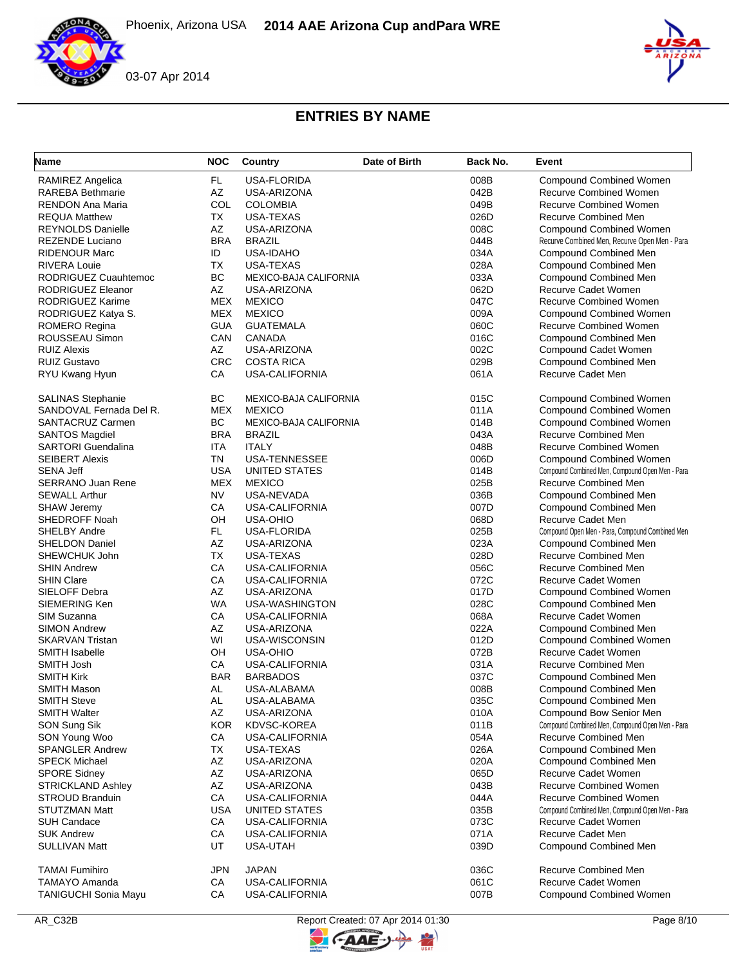



| Name                        | <b>NOC</b> | Country                       | Date of Birth | Back No. | Event                                           |
|-----------------------------|------------|-------------------------------|---------------|----------|-------------------------------------------------|
| RAMIREZ Angelica            | FL         | USA-FLORIDA                   |               | 008B     | <b>Compound Combined Women</b>                  |
| <b>RAREBA Bethmarie</b>     | AZ         | USA-ARIZONA                   |               | 042B     | <b>Recurve Combined Women</b>                   |
| <b>RENDON Ana Maria</b>     | COL        | <b>COLOMBIA</b>               |               | 049B     | <b>Recurve Combined Women</b>                   |
| <b>REQUA Matthew</b>        | <b>TX</b>  | USA-TEXAS                     |               | 026D     | Recurve Combined Men                            |
| <b>REYNOLDS Danielle</b>    | AZ         | USA-ARIZONA                   |               | 008C     | <b>Compound Combined Women</b>                  |
| <b>REZENDE Luciano</b>      | <b>BRA</b> | <b>BRAZIL</b>                 |               | 044B     | Recurve Combined Men, Recurve Open Men - Para   |
| <b>RIDENOUR Marc</b>        | ID         | <b>USA-IDAHO</b>              |               | 034A     | Compound Combined Men                           |
| <b>RIVERA Louie</b>         | <b>TX</b>  | USA-TEXAS                     |               | 028A     | <b>Compound Combined Men</b>                    |
| RODRIGUEZ Cuauhtemoc        | BC         | MEXICO-BAJA CALIFORNIA        |               | 033A     | <b>Compound Combined Men</b>                    |
| RODRIGUEZ Eleanor           | AZ         | USA-ARIZONA                   |               | 062D     | Recurve Cadet Women                             |
| RODRIGUEZ Karime            | <b>MEX</b> | <b>MEXICO</b>                 |               | 047C     | <b>Recurve Combined Women</b>                   |
| RODRIGUEZ Katya S.          | <b>MEX</b> | <b>MEXICO</b>                 |               | 009A     | <b>Compound Combined Women</b>                  |
| ROMERO Regina               | <b>GUA</b> | <b>GUATEMALA</b>              |               | 060C     | <b>Recurve Combined Women</b>                   |
| ROUSSEAU Simon              | CAN        | <b>CANADA</b>                 |               | 016C     | <b>Compound Combined Men</b>                    |
| <b>RUIZ Alexis</b>          | AZ         | USA-ARIZONA                   |               | 002C     | Compound Cadet Women                            |
| <b>RUIZ Gustavo</b>         | <b>CRC</b> | <b>COSTA RICA</b>             |               | 029B     | <b>Compound Combined Men</b>                    |
| RYU Kwang Hyun              | CA         | <b>USA-CALIFORNIA</b>         |               | 061A     | Recurve Cadet Men                               |
| <b>SALINAS Stephanie</b>    | <b>BC</b>  | <b>MEXICO-BAJA CALIFORNIA</b> |               | 015C     | <b>Compound Combined Women</b>                  |
| SANDOVAL Fernada Del R.     | <b>MEX</b> | <b>MEXICO</b>                 |               | 011A     | <b>Compound Combined Women</b>                  |
| SANTACRUZ Carmen            | BC         | MEXICO-BAJA CALIFORNIA        |               | 014B     | <b>Compound Combined Women</b>                  |
| <b>SANTOS Magdiel</b>       | <b>BRA</b> | <b>BRAZIL</b>                 |               | 043A     | Recurve Combined Men                            |
| <b>SARTORI</b> Guendalina   | <b>ITA</b> | <b>ITALY</b>                  |               | 048B     | <b>Recurve Combined Women</b>                   |
| <b>SEIBERT Alexis</b>       | TN         | <b>USA-TENNESSEE</b>          |               | 006D     | <b>Compound Combined Women</b>                  |
| <b>SENA Jeff</b>            | <b>USA</b> | UNITED STATES                 |               | 014B     | Compound Combined Men, Compound Open Men - Para |
| <b>SERRANO Juan Rene</b>    | <b>MEX</b> | <b>MEXICO</b>                 |               | 025B     | Recurve Combined Men                            |
| <b>SEWALL Arthur</b>        | NV         | USA-NEVADA                    |               | 036B     | <b>Compound Combined Men</b>                    |
| <b>SHAW Jeremy</b>          | CA         | USA-CALIFORNIA                |               | 007D     | <b>Compound Combined Men</b>                    |
| SHEDROFF Noah               | OH         | <b>USA-OHIO</b>               |               | 068D     | Recurve Cadet Men                               |
| SHELBY Andre                | FL.        | USA-FLORIDA                   |               | 025B     | Compound Open Men - Para, Compound Combined Men |
| <b>SHELDON Daniel</b>       | AZ         | USA-ARIZONA                   |               | 023A     | Compound Combined Men                           |
| SHEWCHUK John               | TX         | USA-TEXAS                     |               | 028D     | <b>Recurve Combined Men</b>                     |
| <b>SHIN Andrew</b>          | CA         | USA-CALIFORNIA                |               | 056C     | Recurve Combined Men                            |
| <b>SHIN Clare</b>           | CA         | USA-CALIFORNIA                |               | 072C     | Recurve Cadet Women                             |
| SIELOFF Debra               | AZ         | USA-ARIZONA                   |               | 017D     | <b>Compound Combined Women</b>                  |
| SIEMERING Ken               | <b>WA</b>  | USA-WASHINGTON                |               | 028C     | <b>Compound Combined Men</b>                    |
| SIM Suzanna                 | CA         | USA-CALIFORNIA                |               | 068A     | Recurve Cadet Women                             |
| <b>SIMON Andrew</b>         | AZ         | USA-ARIZONA                   |               | 022A     | <b>Compound Combined Men</b>                    |
| <b>SKARVAN Tristan</b>      | WI         | USA-WISCONSIN                 |               | 012D     | <b>Compound Combined Women</b>                  |
| <b>SMITH Isabelle</b>       | OH         | <b>USA-OHIO</b>               |               | 072B     | <b>Recurve Cadet Women</b>                      |
| SMITH Josh                  | CA         | USA-CALIFORNIA                |               | 031A     | Recurve Combined Men                            |
| SMITH Kirk                  | <b>BAR</b> | <b>BARBADOS</b>               |               | 037C     | Compound Combined Men                           |
| <b>SMITH Mason</b>          | AL         | USA-ALABAMA                   |               | 008B     | Compound Combined Men                           |
| <b>SMITH Steve</b>          | AL.        | USA-ALABAMA                   |               | 035C     | Compound Combined Men                           |
| <b>SMITH Walter</b>         | AZ         | USA-ARIZONA                   |               | 010A     | Compound Bow Senior Men                         |
| SON Sung Sik                | <b>KOR</b> | KDVSC-KOREA                   |               | 011B     | Compound Combined Men, Compound Open Men - Para |
| SON Young Woo               | CA         | USA-CALIFORNIA                |               | 054A     | Recurve Combined Men                            |
| <b>SPANGLER Andrew</b>      | ТX         | USA-TEXAS                     |               | 026A     | <b>Compound Combined Men</b>                    |
| <b>SPECK Michael</b>        | AZ         | USA-ARIZONA                   |               | 020A     | Compound Combined Men                           |
| <b>SPORE Sidney</b>         | AZ         | USA-ARIZONA                   |               | 065D     | Recurve Cadet Women                             |
| <b>STRICKLAND Ashley</b>    | AZ         | USA-ARIZONA                   |               | 043B     | <b>Recurve Combined Women</b>                   |
| <b>STROUD Branduin</b>      | CA         | USA-CALIFORNIA                |               | 044A     | <b>Recurve Combined Women</b>                   |
| STUTZMAN Matt               | <b>USA</b> | UNITED STATES                 |               | 035B     | Compound Combined Men, Compound Open Men - Para |
| <b>SUH Candace</b>          | CA         | USA-CALIFORNIA                |               | 073C     | Recurve Cadet Women                             |
| <b>SUK Andrew</b>           | CA         | USA-CALIFORNIA                |               | 071A     | Recurve Cadet Men                               |
| <b>SULLIVAN Matt</b>        | UT         | USA-UTAH                      |               | 039D     | Compound Combined Men                           |
| <b>TAMAI Fumihiro</b>       | JPN        | <b>JAPAN</b>                  |               | 036C     | Recurve Combined Men                            |
| <b>TAMAYO Amanda</b>        | CA         | USA-CALIFORNIA                |               | 061C     | Recurve Cadet Women                             |
| <b>TANIGUCHI Sonia Mayu</b> | CA         | USA-CALIFORNIA                |               | 007B     | <b>Compound Combined Women</b>                  |

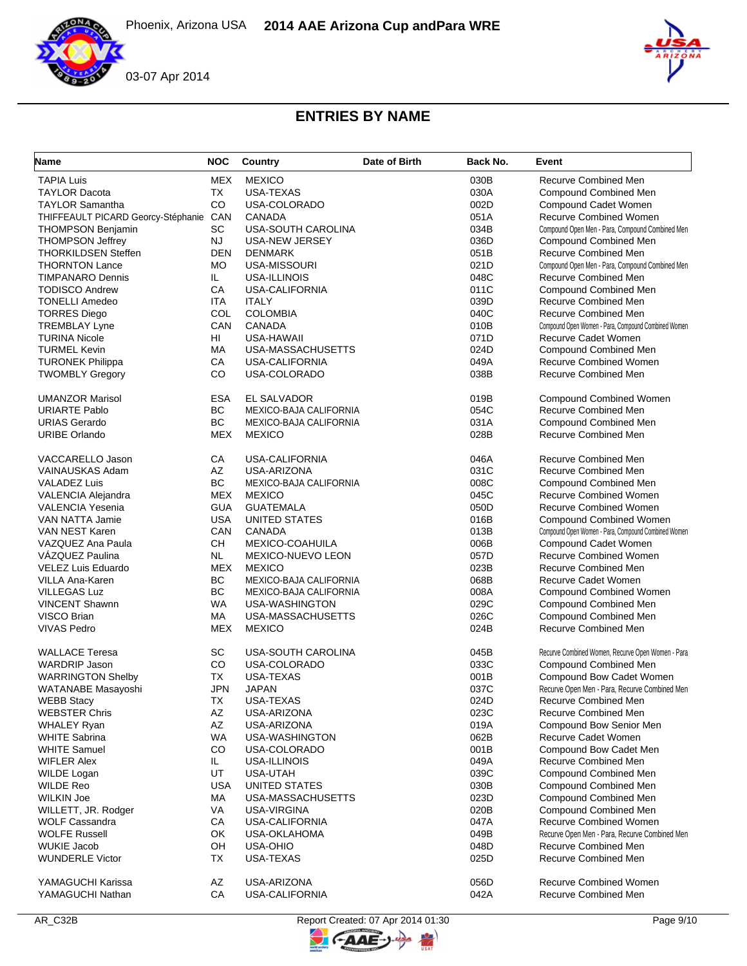

| Name                               | <b>NOC</b> | Country                       | Date of Birth | Back No. | Event                                               |
|------------------------------------|------------|-------------------------------|---------------|----------|-----------------------------------------------------|
| <b>TAPIA Luis</b>                  | <b>MEX</b> | <b>MEXICO</b>                 |               | 030B     | <b>Recurve Combined Men</b>                         |
| <b>TAYLOR Dacota</b>               | <b>TX</b>  | USA-TEXAS                     |               | 030A     | Compound Combined Men                               |
| <b>TAYLOR Samantha</b>             | <b>CO</b>  | USA-COLORADO                  |               | 002D     | Compound Cadet Women                                |
| THIFFEAULT PICARD Georcy-Stéphanie | CAN        | <b>CANADA</b>                 |               | 051A     | <b>Recurve Combined Women</b>                       |
| <b>THOMPSON Benjamin</b>           | <b>SC</b>  | USA-SOUTH CAROLINA            |               | 034B     | Compound Open Men - Para, Compound Combined Men     |
| <b>THOMPSON Jeffrey</b>            | <b>NJ</b>  | USA-NEW JERSEY                |               | 036D     | <b>Compound Combined Men</b>                        |
| <b>THORKILDSEN Steffen</b>         | <b>DEN</b> | <b>DENMARK</b>                |               | 051B     | Recurve Combined Men                                |
| <b>THORNTON Lance</b>              | MO.        | USA-MISSOURI                  |               | 021D     | Compound Open Men - Para, Compound Combined Men     |
| <b>TIMPANARO Dennis</b>            | IL         | USA-ILLINOIS                  |               | 048C     | Recurve Combined Men                                |
| <b>TODISCO Andrew</b>              | CA         | USA-CALIFORNIA                |               | 011C     | Compound Combined Men                               |
| <b>TONELLI Amedeo</b>              | ITA        | <b>ITALY</b>                  |               | 039D     | Recurve Combined Men                                |
| <b>TORRES Diego</b>                | COL        | <b>COLOMBIA</b>               |               | 040C     | <b>Recurve Combined Men</b>                         |
| <b>TREMBLAY Lyne</b>               | CAN        | <b>CANADA</b>                 |               | 010B     | Compound Open Women - Para, Compound Combined Women |
| <b>TURINA Nicole</b>               | HL         | USA-HAWAII                    |               | 071D     | Recurve Cadet Women                                 |
| <b>TURMEL Kevin</b>                | МA         | USA-MASSACHUSETTS             |               | 024D     | Compound Combined Men                               |
| <b>TURONEK Philippa</b>            | CA         | USA-CALIFORNIA                |               | 049A     | <b>Recurve Combined Women</b>                       |
| <b>TWOMBLY Gregory</b>             | CO         | USA-COLORADO                  |               | 038B     | <b>Recurve Combined Men</b>                         |
| <b>UMANZOR Marisol</b>             | <b>ESA</b> | EL SALVADOR                   |               | 019B     | <b>Compound Combined Women</b>                      |
| <b>URIARTE Pablo</b>               | <b>BC</b>  | <b>MEXICO-BAJA CALIFORNIA</b> |               | 054C     | <b>Recurve Combined Men</b>                         |
| <b>URIAS Gerardo</b>               | <b>BC</b>  | <b>MEXICO-BAJA CALIFORNIA</b> |               | 031A     | Compound Combined Men                               |
| <b>URIBE Orlando</b>               | <b>MEX</b> | <b>MEXICO</b>                 |               | 028B     | Recurve Combined Men                                |
| VACCARELLO Jason                   | CA         | USA-CALIFORNIA                |               | 046A     | Recurve Combined Men                                |
| VAINAUSKAS Adam                    | AZ         | USA-ARIZONA                   |               | 031C     | Recurve Combined Men                                |
| <b>VALADEZ Luis</b>                | <b>BC</b>  | <b>MEXICO-BAJA CALIFORNIA</b> |               | 008C     | Compound Combined Men                               |
| VALENCIA Alejandra                 | <b>MEX</b> | <b>MEXICO</b>                 |               | 045C     | <b>Recurve Combined Women</b>                       |
| <b>VALENCIA Yesenia</b>            | <b>GUA</b> | <b>GUATEMALA</b>              |               | 050D     | <b>Recurve Combined Women</b>                       |
| VAN NATTA Jamie                    | <b>USA</b> | UNITED STATES                 |               | 016B     | <b>Compound Combined Women</b>                      |
| VAN NEST Karen                     | CAN        | CANADA                        |               | 013B     | Compound Open Women - Para, Compound Combined Women |
| VAZQUEZ Ana Paula                  | <b>CH</b>  | MEXICO-COAHUILA               |               | 006B     | Compound Cadet Women                                |
| <b>VAZQUEZ Paulina</b>             | <b>NL</b>  | MEXICO-NUEVO LEON             |               | 057D     | <b>Recurve Combined Women</b>                       |
| VELEZ Luis Eduardo                 | <b>MEX</b> | <b>MEXICO</b>                 |               | 023B     | Recurve Combined Men                                |
| VILLA Ana-Karen                    | BC         | MEXICO-BAJA CALIFORNIA        |               | 068B     | Recurve Cadet Women                                 |
| <b>VILLEGAS Luz</b>                | <b>BC</b>  | MEXICO-BAJA CALIFORNIA        |               | 008A     | <b>Compound Combined Women</b>                      |
| <b>VINCENT Shawnn</b>              | <b>WA</b>  | USA-WASHINGTON                |               | 029C     | Compound Combined Men                               |
| VISCO Brian                        | МA         | USA-MASSACHUSETTS             |               | 026C     | Compound Combined Men                               |
| <b>VIVAS Pedro</b>                 | <b>MEX</b> | <b>MEXICO</b>                 |               | 024B     | <b>Recurve Combined Men</b>                         |
| <b>WALLACE Teresa</b>              | SC         | USA-SOUTH CAROLINA            |               | 045B     | Recurve Combined Women, Recurve Open Women - Para   |
| <b>WARDRIP Jason</b>               | CO         | USA-COLORADO                  |               | 033C     | <b>Compound Combined Men</b>                        |
| <b>WARRINGTON Shelby</b>           | <b>TX</b>  | <b>USA-TEXAS</b>              |               | 001B     | Compound Bow Cadet Women                            |
| WATANABE Masayoshi                 | <b>JPN</b> | <b>JAPAN</b>                  |               | 037C     | Recurve Open Men - Para, Recurve Combined Men       |
| <b>WEBB Stacy</b>                  | ТX         | USA-TEXAS                     |               | 024D     | Recurve Combined Men                                |
| <b>WEBSTER Chris</b>               | AZ         | USA-ARIZONA                   |               | 023C     | Recurve Combined Men                                |
| <b>WHALEY Ryan</b>                 | AZ         | USA-ARIZONA                   |               | 019A     | Compound Bow Senior Men                             |
| <b>WHITE Sabrina</b>               | <b>WA</b>  | USA-WASHINGTON                |               | 062B     | Recurve Cadet Women                                 |
| <b>WHITE Samuel</b>                | CO         | USA-COLORADO                  |               | 001B     | Compound Bow Cadet Men                              |
| <b>WIFLER Alex</b>                 | IL.        | USA-ILLINOIS                  |               | 049A     | Recurve Combined Men                                |
| WILDE Logan                        | UT         | USA-UTAH                      |               | 039C     | Compound Combined Men                               |
| <b>WILDE Reo</b>                   | <b>USA</b> | UNITED STATES                 |               | 030B     | Compound Combined Men                               |
| <b>WILKIN Joe</b>                  | МA         | USA-MASSACHUSETTS             |               | 023D     | Compound Combined Men                               |
| WILLETT, JR. Rodger                | VA         | USA-VIRGINA                   |               | 020B     | Compound Combined Men                               |
| <b>WOLF Cassandra</b>              | CA         | <b>USA-CALIFORNIA</b>         |               | 047A     | <b>Recurve Combined Women</b>                       |
| <b>WOLFE Russell</b>               | OK         | USA-OKLAHOMA                  |               | 049B     | Recurve Open Men - Para, Recurve Combined Men       |
| <b>WUKIE Jacob</b>                 | OH         | USA-OHIO                      |               | 048D     | <b>Recurve Combined Men</b>                         |
| <b>WUNDERLE Victor</b>             | TX         | USA-TEXAS                     |               | 025D     | Recurve Combined Men                                |
| YAMAGUCHI Karissa                  | AZ         | USA-ARIZONA                   |               | 056D     | <b>Recurve Combined Women</b>                       |
| YAMAGUCHI Nathan                   | CA         | USA-CALIFORNIA                |               | 042A     | Recurve Combined Men                                |